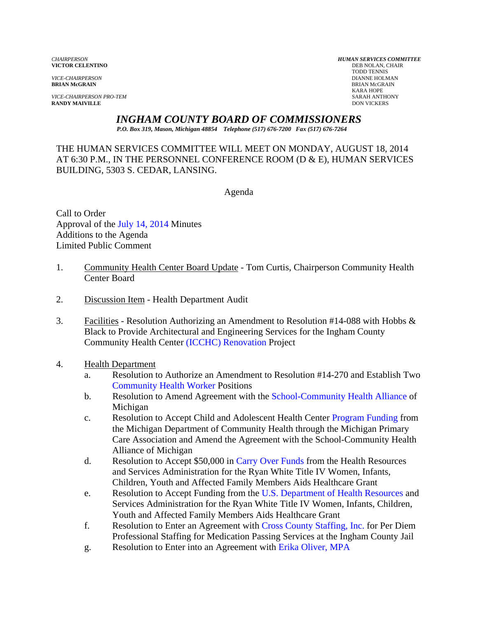**VICTOR CELENTINO** 

*VICE-CHAIRPERSON PRO-TEM* SARAH ANTHONY **RANDY MAIVILLE** 

*CHAIRPERSON HUMAN SERVICES COMMITTEE* TODD TENNIS *VICE-CHAIRPERSON* DIANNE HOLMAN **BRIAN McGRAIN** BRIAN McGRAIN KARA HOPE

*INGHAM COUNTY BOARD OF COMMISSIONERS* 

*P.O. Box 319, Mason, Michigan 48854 Telephone (517) 676-7200 Fax (517) 676-7264*

THE HUMAN SERVICES COMMITTEE WILL MEET ON MONDAY, AUGUST 18, 2014 AT 6:30 P.M., IN THE PERSONNEL CONFERENCE ROOM (D & E), HUMAN SERVICES BUILDING, 5303 S. CEDAR, LANSING.

Agenda

Call to Order Approval [of the July 14, 2014 Minutes](#page-2-0)  Additions to the Agenda Limited Public Comment

- 1. Community Health Center Board Update Tom Curtis, Chairperson Community Health Center Board
- 2. Discussion Item Health Department Audit
- 3. Facilities Resolution Authorizing an Amendment to Resolution #14-088 with Hobbs  $\&$ Black to Provide Arch[itectural and Engineering Services for th](#page-14-0)e Ingham County Community Health Center (ICCHC) Renovation Project
- 4. Health Department
	- a. Resolution to Authorize an Amendment to Resolution #14-270 and Establish Two [Community Health Worker Positi](#page-16-0)ons
	- b. Resolution to Amend Agreement with t[he School-Community Health Alliance of](#page-19-0)  Michigan
	- c. Resolution to Accept Child and Adolescent Health Cent[er Program Funding from](#page-21-0)  the Michigan Department of Community Health through the Michigan Primary Care Association and Amend the Agreement with the School-Community Health Alliance of Michigan
	- d. Resolution to Accept \$50,00[0 in Carry Over Funds from th](#page-24-0)e Health Resources and Services Administration for the Ryan White Title IV Women, Infants, Children, Youth and Affected Family Members Aids Healthcare Grant
	- e. Resolution to Accept Funding from t[he U.S. Department of Health Resources and](#page-26-0)  Services Administration for the Ryan White Title IV Women, Infants, Children, Youth and Affected Family Members Aids Healthcare Grant
	- f. Resolution to Enter an Agreement with [Cross County Staffing, Inc. for Per Di](#page-29-0)em Professional Staffing for Medication Passing Services at the Ingham County Jail
	- g. Resolution to Enter into an Agreement [with Erika Oliver, MPA](#page-31-0)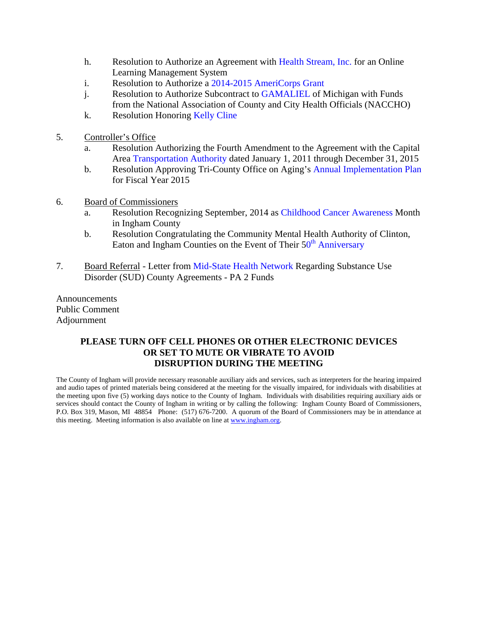- h. Resolution to Authorize an Agreement [with Health Stream, Inc. for an Onlin](#page-33-0)e Learning Management System
- i. Resolution to Authorize [a 2014-2015 AmeriCorps Grant](#page-35-0)
- j. Resolution to Authorize Subcontract t[o GAMALIEL of Michigan](#page-37-0) with Funds from the National Association of County and City Health Officials (NACCHO)
- k. Resolution Hon[oring Kelly Cline](#page-40-0)
- 5. Controller's Office
	- a. Resolution Authorizing the Fourth Amendment to the Agreement with the Capital Ar[ea Transportation Authority date](#page-41-0)d January 1, 2011 through December 31, 2015
	- b. Resolution Approving Tri-County Office on Agin[g's Annual Implementation Plan](#page-44-0) for Fiscal Year 2015
- 6. Board of Commissioners
	- a. Resolution Recognizing September, 2014 [as Childhood Cancer Awareness Month](#page-46-0)  in Ingham County
	- b. Resolution Congratulating the Community Mental Health Authority of Clinton, Eaton and Ingham Counties on the Event of Their  $50<sup>th</sup>$  Anniversary
- 7. Board Referral Letter [from Mid-State Health Networ](#page-48-0)[k Regarding Substance Use](#page-47-0)  Disorder (SUD) County Agreements - PA 2 Funds

Announcements Public Comment Adjournment

#### **PLEASE TURN OFF CELL PHONES OR OTHER ELECTRONIC DEVICES OR SET TO MUTE OR VIBRATE TO AVOID DISRUPTION DURING THE MEETING**

The County of Ingham will provide necessary reasonable auxiliary aids and services, such as interpreters for the hearing impaired and audio tapes of printed materials being considered at the meeting for the visually impaired, for individuals with disabilities at the meeting upon five (5) working days notice to the County of Ingham. Individuals with disabilities requiring auxiliary aids or services should contact the County of Ingham in writing or by calling the following: Ingham County Board of Commissioners, P.O. Box 319, Mason, MI 48854 Phone: (517) 676-7200. A quorum of the Board of Commissioners may be in attendance at this meeting. Meeting information is also available on line at www.ingham.org.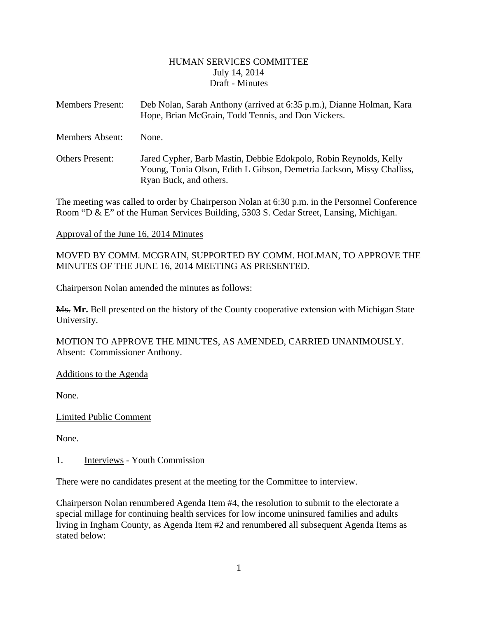#### HUMAN SERVICES COMMITTEE July 14, 2014 Draft - Minutes

<span id="page-2-0"></span>

| <b>Members Present:</b> | Deb Nolan, Sarah Anthony (arrived at 6:35 p.m.), Dianne Holman, Kara<br>Hope, Brian McGrain, Todd Tennis, and Don Vickers. |
|-------------------------|----------------------------------------------------------------------------------------------------------------------------|
| <b>Members Absent:</b>  | None.                                                                                                                      |

Others Present: Jared Cypher, Barb Mastin, Debbie Edokpolo, Robin Reynolds, Kelly Young, Tonia Olson, Edith L Gibson, Demetria Jackson, Missy Challiss, Ryan Buck, and others.

The meeting was called to order by Chairperson Nolan at 6:30 p.m. in the Personnel Conference Room "D & E" of the Human Services Building, 5303 S. Cedar Street, Lansing, Michigan.

#### Approval of the June 16, 2014 Minutes

MOVED BY COMM. MCGRAIN, SUPPORTED BY COMM. HOLMAN, TO APPROVE THE MINUTES OF THE JUNE 16, 2014 MEETING AS PRESENTED.

Chairperson Nolan amended the minutes as follows:

Ms. **Mr.** Bell presented on the history of the County cooperative extension with Michigan State University.

MOTION TO APPROVE THE MINUTES, AS AMENDED, CARRIED UNANIMOUSLY. Absent: Commissioner Anthony.

Additions to the Agenda

None.

Limited Public Comment

None.

1. Interviews - Youth Commission

There were no candidates present at the meeting for the Committee to interview.

Chairperson Nolan renumbered Agenda Item #4, the resolution to submit to the electorate a special millage for continuing health services for low income uninsured families and adults living in Ingham County, as Agenda Item #2 and renumbered all subsequent Agenda Items as stated below: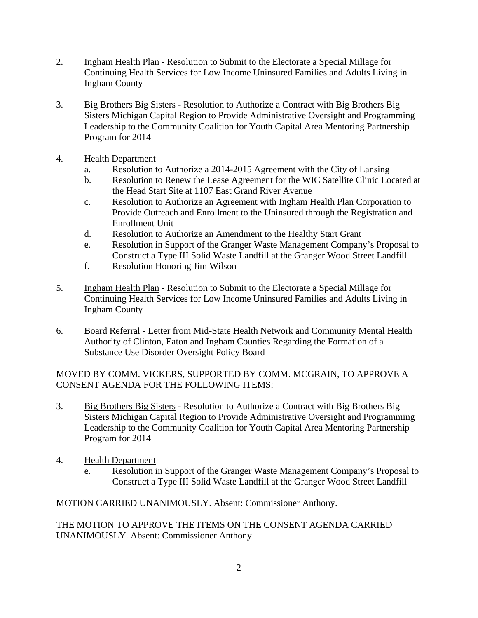- 2. Ingham Health Plan Resolution to Submit to the Electorate a Special Millage for Continuing Health Services for Low Income Uninsured Families and Adults Living in Ingham County
- 3. Big Brothers Big Sisters Resolution to Authorize a Contract with Big Brothers Big Sisters Michigan Capital Region to Provide Administrative Oversight and Programming Leadership to the Community Coalition for Youth Capital Area Mentoring Partnership Program for 2014
- 4. Health Department
	- a. Resolution to Authorize a 2014-2015 Agreement with the City of Lansing
	- b. Resolution to Renew the Lease Agreement for the WIC Satellite Clinic Located at the Head Start Site at 1107 East Grand River Avenue
	- c. Resolution to Authorize an Agreement with Ingham Health Plan Corporation to Provide Outreach and Enrollment to the Uninsured through the Registration and Enrollment Unit
	- d. Resolution to Authorize an Amendment to the Healthy Start Grant
	- e. Resolution in Support of the Granger Waste Management Company's Proposal to Construct a Type III Solid Waste Landfill at the Granger Wood Street Landfill
	- f. Resolution Honoring Jim Wilson
- 5. Ingham Health Plan Resolution to Submit to the Electorate a Special Millage for Continuing Health Services for Low Income Uninsured Families and Adults Living in Ingham County
- 6. Board Referral Letter from Mid-State Health Network and Community Mental Health Authority of Clinton, Eaton and Ingham Counties Regarding the Formation of a Substance Use Disorder Oversight Policy Board

MOVED BY COMM. VICKERS, SUPPORTED BY COMM. MCGRAIN, TO APPROVE A CONSENT AGENDA FOR THE FOLLOWING ITEMS:

- 3. Big Brothers Big Sisters Resolution to Authorize a Contract with Big Brothers Big Sisters Michigan Capital Region to Provide Administrative Oversight and Programming Leadership to the Community Coalition for Youth Capital Area Mentoring Partnership Program for 2014
- 4. Health Department
	- e. Resolution in Support of the Granger Waste Management Company's Proposal to Construct a Type III Solid Waste Landfill at the Granger Wood Street Landfill

MOTION CARRIED UNANIMOUSLY. Absent: Commissioner Anthony.

THE MOTION TO APPROVE THE ITEMS ON THE CONSENT AGENDA CARRIED UNANIMOUSLY. Absent: Commissioner Anthony.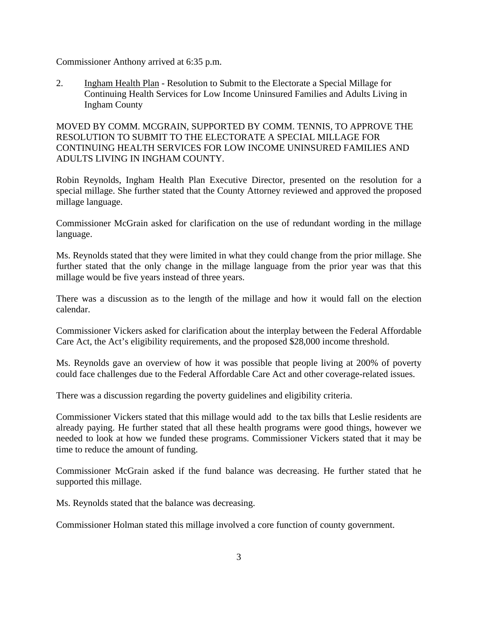Commissioner Anthony arrived at 6:35 p.m.

2. Ingham Health Plan - Resolution to Submit to the Electorate a Special Millage for Continuing Health Services for Low Income Uninsured Families and Adults Living in Ingham County

MOVED BY COMM. MCGRAIN, SUPPORTED BY COMM. TENNIS, TO APPROVE THE RESOLUTION TO SUBMIT TO THE ELECTORATE A SPECIAL MILLAGE FOR CONTINUING HEALTH SERVICES FOR LOW INCOME UNINSURED FAMILIES AND ADULTS LIVING IN INGHAM COUNTY.

Robin Reynolds, Ingham Health Plan Executive Director, presented on the resolution for a special millage. She further stated that the County Attorney reviewed and approved the proposed millage language.

Commissioner McGrain asked for clarification on the use of redundant wording in the millage language.

Ms. Reynolds stated that they were limited in what they could change from the prior millage. She further stated that the only change in the millage language from the prior year was that this millage would be five years instead of three years.

There was a discussion as to the length of the millage and how it would fall on the election calendar.

Commissioner Vickers asked for clarification about the interplay between the Federal Affordable Care Act, the Act's eligibility requirements, and the proposed \$28,000 income threshold.

Ms. Reynolds gave an overview of how it was possible that people living at 200% of poverty could face challenges due to the Federal Affordable Care Act and other coverage-related issues.

There was a discussion regarding the poverty guidelines and eligibility criteria.

Commissioner Vickers stated that this millage would add to the tax bills that Leslie residents are already paying. He further stated that all these health programs were good things, however we needed to look at how we funded these programs. Commissioner Vickers stated that it may be time to reduce the amount of funding.

Commissioner McGrain asked if the fund balance was decreasing. He further stated that he supported this millage.

Ms. Reynolds stated that the balance was decreasing.

Commissioner Holman stated this millage involved a core function of county government.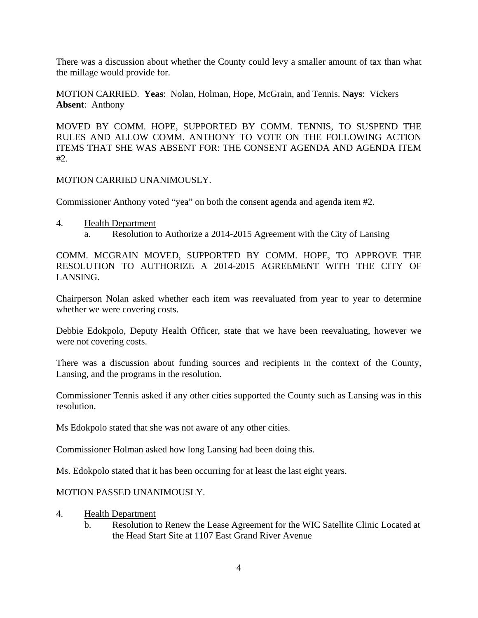There was a discussion about whether the County could levy a smaller amount of tax than what the millage would provide for.

MOTION CARRIED. **Yeas**: Nolan, Holman, Hope, McGrain, and Tennis. **Nays**: Vickers **Absent**: Anthony

MOVED BY COMM. HOPE, SUPPORTED BY COMM. TENNIS, TO SUSPEND THE RULES AND ALLOW COMM. ANTHONY TO VOTE ON THE FOLLOWING ACTION ITEMS THAT SHE WAS ABSENT FOR: THE CONSENT AGENDA AND AGENDA ITEM  $#2.$ 

MOTION CARRIED UNANIMOUSLY.

Commissioner Anthony voted "yea" on both the consent agenda and agenda item #2.

- 4. Health Department
	- a. Resolution to Authorize a 2014-2015 Agreement with the City of Lansing

COMM. MCGRAIN MOVED, SUPPORTED BY COMM. HOPE, TO APPROVE THE RESOLUTION TO AUTHORIZE A 2014-2015 AGREEMENT WITH THE CITY OF LANSING.

Chairperson Nolan asked whether each item was reevaluated from year to year to determine whether we were covering costs.

Debbie Edokpolo, Deputy Health Officer, state that we have been reevaluating, however we were not covering costs.

There was a discussion about funding sources and recipients in the context of the County, Lansing, and the programs in the resolution.

Commissioner Tennis asked if any other cities supported the County such as Lansing was in this resolution.

Ms Edokpolo stated that she was not aware of any other cities.

Commissioner Holman asked how long Lansing had been doing this.

Ms. Edokpolo stated that it has been occurring for at least the last eight years.

#### MOTION PASSED UNANIMOUSLY.

- 4. Health Department
	- b. Resolution to Renew the Lease Agreement for the WIC Satellite Clinic Located at the Head Start Site at 1107 East Grand River Avenue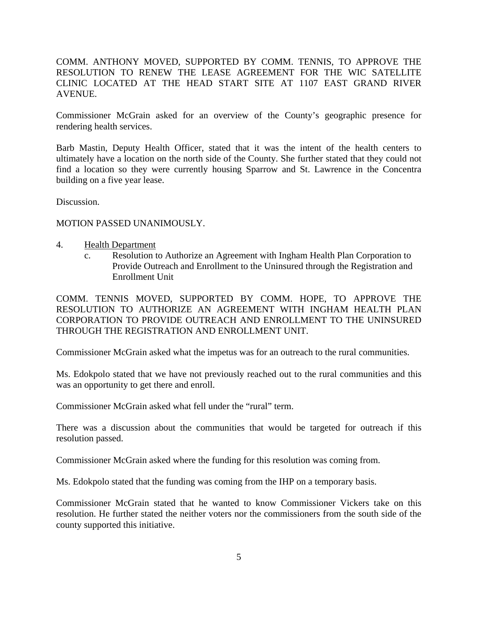COMM. ANTHONY MOVED, SUPPORTED BY COMM. TENNIS, TO APPROVE THE RESOLUTION TO RENEW THE LEASE AGREEMENT FOR THE WIC SATELLITE CLINIC LOCATED AT THE HEAD START SITE AT 1107 EAST GRAND RIVER AVENUE.

Commissioner McGrain asked for an overview of the County's geographic presence for rendering health services.

Barb Mastin, Deputy Health Officer, stated that it was the intent of the health centers to ultimately have a location on the north side of the County. She further stated that they could not find a location so they were currently housing Sparrow and St. Lawrence in the Concentra building on a five year lease.

Discussion.

#### MOTION PASSED UNANIMOUSLY.

- 4. Health Department
	- c. Resolution to Authorize an Agreement with Ingham Health Plan Corporation to Provide Outreach and Enrollment to the Uninsured through the Registration and Enrollment Unit

COMM. TENNIS MOVED, SUPPORTED BY COMM. HOPE, TO APPROVE THE RESOLUTION TO AUTHORIZE AN AGREEMENT WITH INGHAM HEALTH PLAN CORPORATION TO PROVIDE OUTREACH AND ENROLLMENT TO THE UNINSURED THROUGH THE REGISTRATION AND ENROLLMENT UNIT.

Commissioner McGrain asked what the impetus was for an outreach to the rural communities.

Ms. Edokpolo stated that we have not previously reached out to the rural communities and this was an opportunity to get there and enroll.

Commissioner McGrain asked what fell under the "rural" term.

There was a discussion about the communities that would be targeted for outreach if this resolution passed.

Commissioner McGrain asked where the funding for this resolution was coming from.

Ms. Edokpolo stated that the funding was coming from the IHP on a temporary basis.

Commissioner McGrain stated that he wanted to know Commissioner Vickers take on this resolution. He further stated the neither voters nor the commissioners from the south side of the county supported this initiative.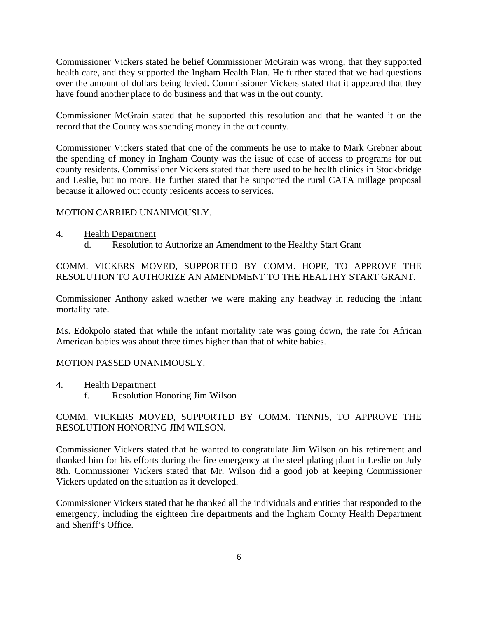Commissioner Vickers stated he belief Commissioner McGrain was wrong, that they supported health care, and they supported the Ingham Health Plan. He further stated that we had questions over the amount of dollars being levied. Commissioner Vickers stated that it appeared that they have found another place to do business and that was in the out county.

Commissioner McGrain stated that he supported this resolution and that he wanted it on the record that the County was spending money in the out county.

Commissioner Vickers stated that one of the comments he use to make to Mark Grebner about the spending of money in Ingham County was the issue of ease of access to programs for out county residents. Commissioner Vickers stated that there used to be health clinics in Stockbridge and Leslie, but no more. He further stated that he supported the rural CATA millage proposal because it allowed out county residents access to services.

### MOTION CARRIED UNANIMOUSLY.

- 4. Health Department
	- d. Resolution to Authorize an Amendment to the Healthy Start Grant

COMM. VICKERS MOVED, SUPPORTED BY COMM. HOPE, TO APPROVE THE RESOLUTION TO AUTHORIZE AN AMENDMENT TO THE HEALTHY START GRANT.

Commissioner Anthony asked whether we were making any headway in reducing the infant mortality rate.

Ms. Edokpolo stated that while the infant mortality rate was going down, the rate for African American babies was about three times higher than that of white babies.

#### MOTION PASSED UNANIMOUSLY.

4. Health Department f. Resolution Honoring Jim Wilson

### COMM. VICKERS MOVED, SUPPORTED BY COMM. TENNIS, TO APPROVE THE RESOLUTION HONORING JIM WILSON.

Commissioner Vickers stated that he wanted to congratulate Jim Wilson on his retirement and thanked him for his efforts during the fire emergency at the steel plating plant in Leslie on July 8th. Commissioner Vickers stated that Mr. Wilson did a good job at keeping Commissioner Vickers updated on the situation as it developed.

Commissioner Vickers stated that he thanked all the individuals and entities that responded to the emergency, including the eighteen fire departments and the Ingham County Health Department and Sheriff's Office.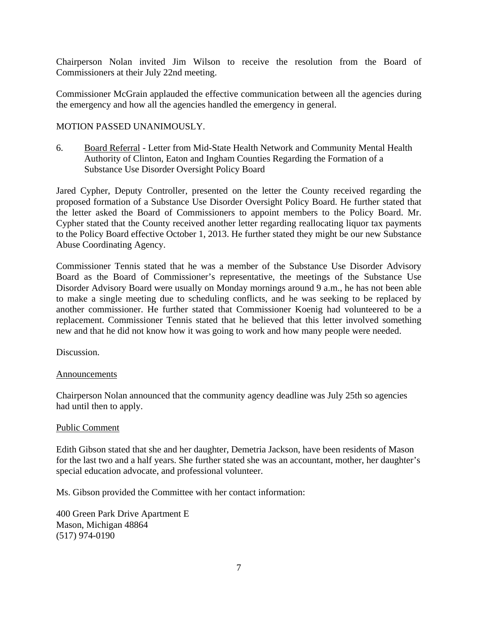Chairperson Nolan invited Jim Wilson to receive the resolution from the Board of Commissioners at their July 22nd meeting.

Commissioner McGrain applauded the effective communication between all the agencies during the emergency and how all the agencies handled the emergency in general.

#### MOTION PASSED UNANIMOUSLY.

6. Board Referral - Letter from Mid-State Health Network and Community Mental Health Authority of Clinton, Eaton and Ingham Counties Regarding the Formation of a Substance Use Disorder Oversight Policy Board

Jared Cypher, Deputy Controller, presented on the letter the County received regarding the proposed formation of a Substance Use Disorder Oversight Policy Board. He further stated that the letter asked the Board of Commissioners to appoint members to the Policy Board. Mr. Cypher stated that the County received another letter regarding reallocating liquor tax payments to the Policy Board effective October 1, 2013. He further stated they might be our new Substance Abuse Coordinating Agency.

Commissioner Tennis stated that he was a member of the Substance Use Disorder Advisory Board as the Board of Commissioner's representative, the meetings of the Substance Use Disorder Advisory Board were usually on Monday mornings around 9 a.m., he has not been able to make a single meeting due to scheduling conflicts, and he was seeking to be replaced by another commissioner. He further stated that Commissioner Koenig had volunteered to be a replacement. Commissioner Tennis stated that he believed that this letter involved something new and that he did not know how it was going to work and how many people were needed.

Discussion.

#### Announcements

Chairperson Nolan announced that the community agency deadline was July 25th so agencies had until then to apply.

#### Public Comment

Edith Gibson stated that she and her daughter, Demetria Jackson, have been residents of Mason for the last two and a half years. She further stated she was an accountant, mother, her daughter's special education advocate, and professional volunteer.

Ms. Gibson provided the Committee with her contact information:

400 Green Park Drive Apartment E Mason, Michigan 48864 (517) 974-0190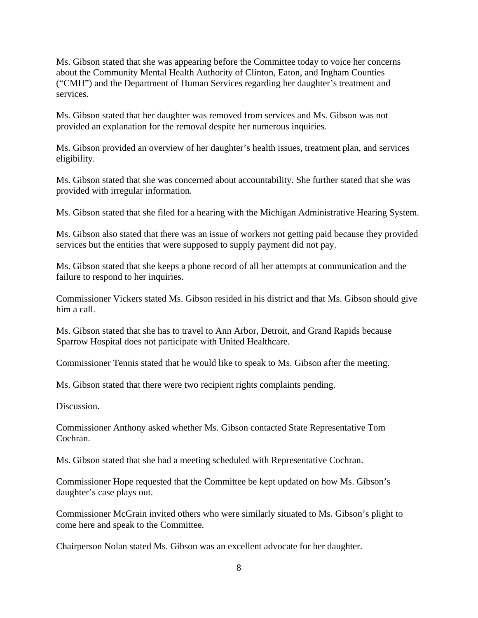Ms. Gibson stated that she was appearing before the Committee today to voice her concerns about the Community Mental Health Authority of Clinton, Eaton, and Ingham Counties ("CMH") and the Department of Human Services regarding her daughter's treatment and services.

Ms. Gibson stated that her daughter was removed from services and Ms. Gibson was not provided an explanation for the removal despite her numerous inquiries.

Ms. Gibson provided an overview of her daughter's health issues, treatment plan, and services eligibility.

Ms. Gibson stated that she was concerned about accountability. She further stated that she was provided with irregular information.

Ms. Gibson stated that she filed for a hearing with the Michigan Administrative Hearing System.

Ms. Gibson also stated that there was an issue of workers not getting paid because they provided services but the entities that were supposed to supply payment did not pay.

Ms. Gibson stated that she keeps a phone record of all her attempts at communication and the failure to respond to her inquiries.

Commissioner Vickers stated Ms. Gibson resided in his district and that Ms. Gibson should give him a call.

Ms. Gibson stated that she has to travel to Ann Arbor, Detroit, and Grand Rapids because Sparrow Hospital does not participate with United Healthcare.

Commissioner Tennis stated that he would like to speak to Ms. Gibson after the meeting.

Ms. Gibson stated that there were two recipient rights complaints pending.

Discussion.

Commissioner Anthony asked whether Ms. Gibson contacted State Representative Tom Cochran.

Ms. Gibson stated that she had a meeting scheduled with Representative Cochran.

Commissioner Hope requested that the Committee be kept updated on how Ms. Gibson's daughter's case plays out.

Commissioner McGrain invited others who were similarly situated to Ms. Gibson's plight to come here and speak to the Committee.

Chairperson Nolan stated Ms. Gibson was an excellent advocate for her daughter.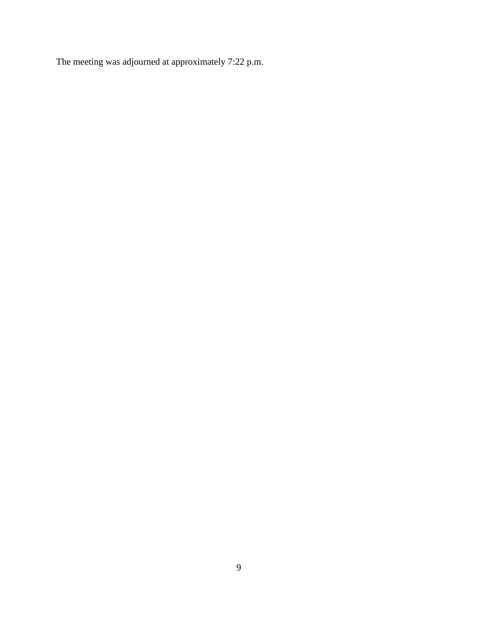The meeting was adjourned at approximately 7:22 p.m.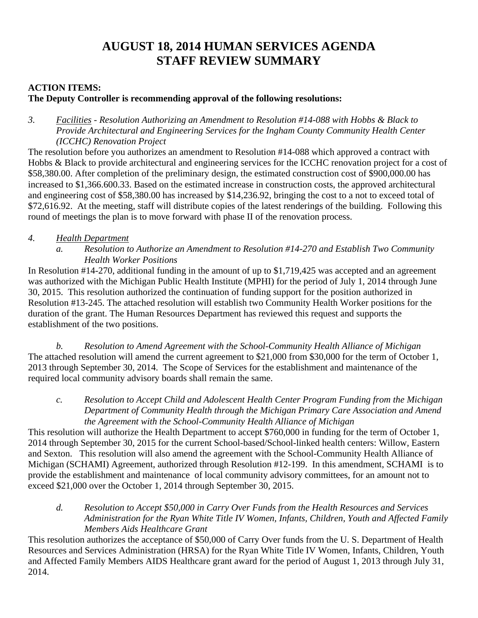# **AUGUST 18, 2014 HUMAN SERVICES AGENDA STAFF REVIEW SUMMARY**

# **ACTION ITEMS:**

# **The Deputy Controller is recommending approval of the following resolutions:**

*3. Facilities - Resolution Authorizing an Amendment to Resolution #14-088 with Hobbs & Black to Provide Architectural and Engineering Services for the Ingham County Community Health Center (ICCHC) Renovation Project* 

The resolution before you authorizes an amendment to Resolution #14-088 which approved a contract with Hobbs & Black to provide architectural and engineering services for the ICCHC renovation project for a cost of \$58,380.00. After completion of the preliminary design, the estimated construction cost of \$900,000.00 has increased to \$1,366.600.33. Based on the estimated increase in construction costs, the approved architectural and engineering cost of \$58,380.00 has increased by \$14,236.92, bringing the cost to a not to exceed total of \$72,616.92. At the meeting, staff will distribute copies of the latest renderings of the building. Following this round of meetings the plan is to move forward with phase II of the renovation process.

# *4. Health Department*

*a. Resolution to Authorize an Amendment to Resolution #14-270 and Establish Two Community Health Worker Positions* 

In Resolution #14-270, additional funding in the amount of up to \$1,719,425 was accepted and an agreement was authorized with the Michigan Public Health Institute (MPHI) for the period of July 1, 2014 through June 30, 2015. This resolution authorized the continuation of funding support for the position authorized in Resolution #13-245. The attached resolution will establish two Community Health Worker positions for the duration of the grant. The Human Resources Department has reviewed this request and supports the establishment of the two positions.

*b. Resolution to Amend Agreement with the School-Community Health Alliance of Michigan*  The attached resolution will amend the current agreement to \$21,000 from \$30,000 for the term of October 1, 2013 through September 30, 2014. The Scope of Services for the establishment and maintenance of the required local community advisory boards shall remain the same.

*c. Resolution to Accept Child and Adolescent Health Center Program Funding from the Michigan Department of Community Health through the Michigan Primary Care Association and Amend the Agreement with the School-Community Health Alliance of Michigan* 

This resolution will authorize the Health Department to accept \$760,000 in funding for the term of October 1, 2014 through September 30, 2015 for the current School-based/School-linked health centers: Willow, Eastern and Sexton. This resolution will also amend the agreement with the School-Community Health Alliance of Michigan (SCHAMI) Agreement, authorized through Resolution #12-199. In this amendment, SCHAMI is to provide the establishment and maintenance of local community advisory committees, for an amount not to exceed \$21,000 over the October 1, 2014 through September 30, 2015.

*d. Resolution to Accept \$50,000 in Carry Over Funds from the Health Resources and Services Administration for the Ryan White Title IV Women, Infants, Children, Youth and Affected Family Members Aids Healthcare Grant* 

This resolution authorizes the acceptance of \$50,000 of Carry Over funds from the U. S. Department of Health Resources and Services Administration (HRSA) for the Ryan White Title IV Women, Infants, Children, Youth and Affected Family Members AIDS Healthcare grant award for the period of August 1, 2013 through July 31, 2014.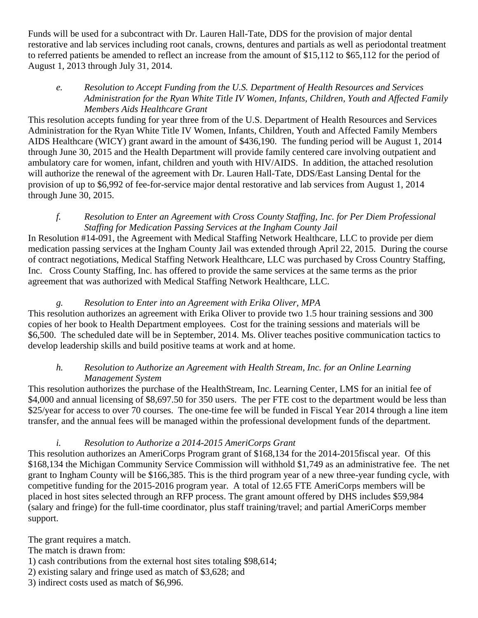Funds will be used for a subcontract with Dr. Lauren Hall-Tate, DDS for the provision of major dental restorative and lab services including root canals, crowns, dentures and partials as well as periodontal treatment to referred patients be amended to reflect an increase from the amount of \$15,112 to \$65,112 for the period of August 1, 2013 through July 31, 2014.

# *e. Resolution to Accept Funding from the U.S. Department of Health Resources and Services Administration for the Ryan White Title IV Women, Infants, Children, Youth and Affected Family Members Aids Healthcare Grant*

This resolution accepts funding for year three from of the U.S. Department of Health Resources and Services Administration for the Ryan White Title IV Women, Infants, Children, Youth and Affected Family Members AIDS Healthcare (WICY) grant award in the amount of \$436,190. The funding period will be August 1, 2014 through June 30, 2015 and the Health Department will provide family centered care involving outpatient and ambulatory care for women, infant, children and youth with HIV/AIDS. In addition, the attached resolution will authorize the renewal of the agreement with Dr. Lauren Hall-Tate, DDS/East Lansing Dental for the provision of up to \$6,992 of fee-for-service major dental restorative and lab services from August 1, 2014 through June 30, 2015.

# *f. Resolution to Enter an Agreement with Cross County Staffing, Inc. for Per Diem Professional Staffing for Medication Passing Services at the Ingham County Jail*

In Resolution #14-091, the Agreement with Medical Staffing Network Healthcare, LLC to provide per diem medication passing services at the Ingham County Jail was extended through April 22, 2015. During the course of contract negotiations, Medical Staffing Network Healthcare, LLC was purchased by Cross Country Staffing, Inc. Cross County Staffing, Inc. has offered to provide the same services at the same terms as the prior agreement that was authorized with Medical Staffing Network Healthcare, LLC.

# *g. Resolution to Enter into an Agreement with Erika Oliver, MPA*

This resolution authorizes an agreement with Erika Oliver to provide two 1.5 hour training sessions and 300 copies of her book to Health Department employees. Cost for the training sessions and materials will be \$6,500. The scheduled date will be in September, 2014. Ms. Oliver teaches positive communication tactics to develop leadership skills and build positive teams at work and at home.

# *h. Resolution to Authorize an Agreement with Health Stream, Inc. for an Online Learning Management System*

This resolution authorizes the purchase of the HealthStream, Inc. Learning Center, LMS for an initial fee of \$4,000 and annual licensing of \$8,697.50 for 350 users. The per FTE cost to the department would be less than \$25/year for access to over 70 courses. The one-time fee will be funded in Fiscal Year 2014 through a line item transfer, and the annual fees will be managed within the professional development funds of the department.

# *i. Resolution to Authorize a 2014-2015 AmeriCorps Grant*

This resolution authorizes an AmeriCorps Program grant of \$168,134 for the 2014-2015fiscal year. Of this \$168,134 the Michigan Community Service Commission will withhold \$1,749 as an administrative fee. The net grant to Ingham County will be \$166,385. This is the third program year of a new three-year funding cycle, with competitive funding for the 2015-2016 program year. A total of 12.65 FTE AmeriCorps members will be placed in host sites selected through an RFP process. The grant amount offered by DHS includes \$59,984 (salary and fringe) for the full-time coordinator, plus staff training/travel; and partial AmeriCorps member support.

The grant requires a match.

- The match is drawn from:
- 1) cash contributions from the external host sites totaling \$98,614;
- 2) existing salary and fringe used as match of \$3,628; and
- 3) indirect costs used as match of \$6,996.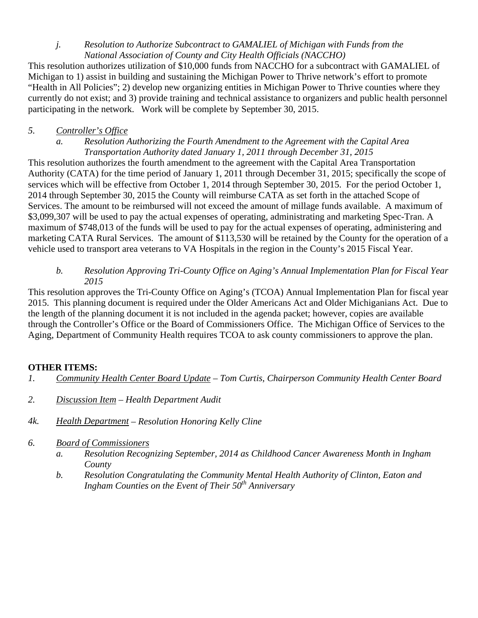# *j. Resolution to Authorize Subcontract to GAMALIEL of Michigan with Funds from the National Association of County and City Health Officials (NACCHO)*

This resolution authorizes utilization of \$10,000 funds from NACCHO for a subcontract with GAMALIEL of Michigan to 1) assist in building and sustaining the Michigan Power to Thrive network's effort to promote "Health in All Policies"; 2) develop new organizing entities in Michigan Power to Thrive counties where they currently do not exist; and 3) provide training and technical assistance to organizers and public health personnel participating in the network. Work will be complete by September 30, 2015.

# *5. Controller's Office*

*a. Resolution Authorizing the Fourth Amendment to the Agreement with the Capital Area Transportation Authority dated January 1, 2011 through December 31, 2015* 

This resolution authorizes the fourth amendment to the agreement with the Capital Area Transportation Authority (CATA) for the time period of January 1, 2011 through December 31, 2015; specifically the scope of services which will be effective from October 1, 2014 through September 30, 2015. For the period October 1, 2014 through September 30, 2015 the County will reimburse CATA as set forth in the attached Scope of Services. The amount to be reimbursed will not exceed the amount of millage funds available. A maximum of \$3,099,307 will be used to pay the actual expenses of operating, administrating and marketing Spec-Tran. A maximum of \$748,013 of the funds will be used to pay for the actual expenses of operating, administering and marketing CATA Rural Services. The amount of \$113,530 will be retained by the County for the operation of a vehicle used to transport area veterans to VA Hospitals in the region in the County's 2015 Fiscal Year.

# *b. Resolution Approving Tri-County Office on Aging's Annual Implementation Plan for Fiscal Year 2015*

This resolution approves the Tri-County Office on Aging's (TCOA) Annual Implementation Plan for fiscal year 2015. This planning document is required under the Older Americans Act and Older Michiganians Act. Due to the length of the planning document it is not included in the agenda packet; however, copies are available through the Controller's Office or the Board of Commissioners Office. The Michigan Office of Services to the Aging, Department of Community Health requires TCOA to ask county commissioners to approve the plan.

# **OTHER ITEMS:**

- *1. Community Health Center Board Update Tom Curtis, Chairperson Community Health Center Board*
- *2. Discussion Item Health Department Audit*
- *4k. Health Department Resolution Honoring Kelly Cline*
- *6. Board of Commissioners* 
	- *a. Resolution Recognizing September, 2014 as Childhood Cancer Awareness Month in Ingham County*
	- *b. Resolution Congratulating the Community Mental Health Authority of Clinton, Eaton and Ingham Counties on the Event of Their 50<sup>th</sup> Anniversary*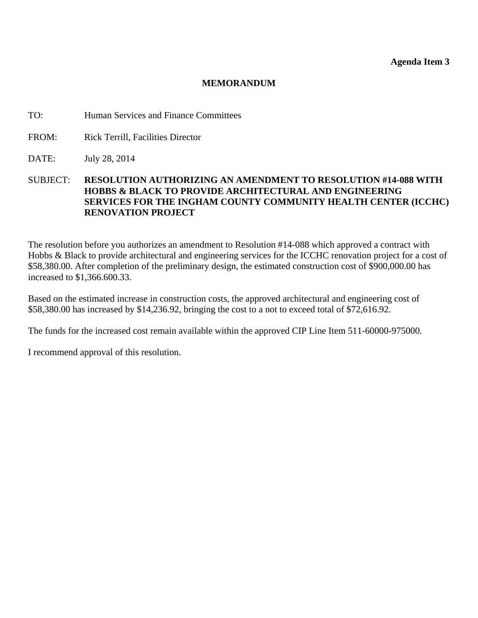<span id="page-14-0"></span>TO: Human Services and Finance Committees

- FROM: Rick Terrill, Facilities Director
- DATE: July 28, 2014
- SUBJECT: **RESOLUTION AUTHORIZING AN AMENDMENT TO RESOLUTION #14-088 WITH HOBBS & BLACK TO PROVIDE ARCHITECTURAL AND ENGINEERING SERVICES FOR THE INGHAM COUNTY COMMUNITY HEALTH CENTER (ICCHC) RENOVATION PROJECT**

The resolution before you authorizes an amendment to Resolution #14-088 which approved a contract with Hobbs & Black to provide architectural and engineering services for the ICCHC renovation project for a cost of \$58,380.00. After completion of the preliminary design, the estimated construction cost of \$900,000.00 has increased to \$1,366.600.33.

Based on the estimated increase in construction costs, the approved architectural and engineering cost of \$58,380.00 has increased by \$14,236.92, bringing the cost to a not to exceed total of \$72,616.92.

The funds for the increased cost remain available within the approved CIP Line Item 511-60000-975000.

I recommend approval of this resolution.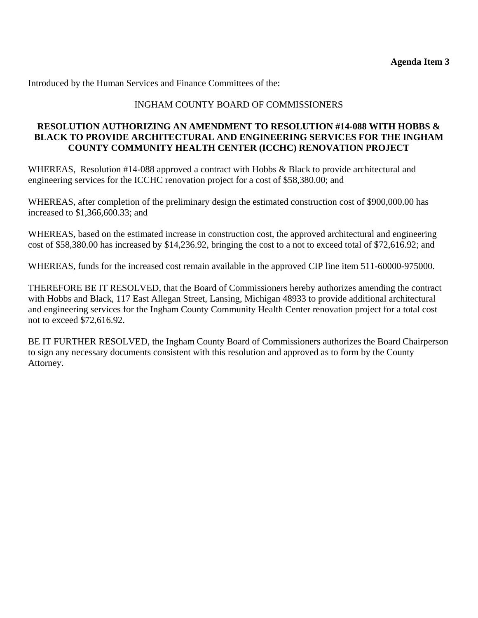# INGHAM COUNTY BOARD OF COMMISSIONERS

## **RESOLUTION AUTHORIZING AN AMENDMENT TO RESOLUTION #14-088 WITH HOBBS & BLACK TO PROVIDE ARCHITECTURAL AND ENGINEERING SERVICES FOR THE INGHAM COUNTY COMMUNITY HEALTH CENTER (ICCHC) RENOVATION PROJECT**

WHEREAS, Resolution #14-088 approved a contract with Hobbs & Black to provide architectural and engineering services for the ICCHC renovation project for a cost of \$58,380.00; and

WHEREAS, after completion of the preliminary design the estimated construction cost of \$900,000.00 has increased to \$1,366,600.33; and

WHEREAS, based on the estimated increase in construction cost, the approved architectural and engineering cost of \$58,380.00 has increased by \$14,236.92, bringing the cost to a not to exceed total of \$72,616.92; and

WHEREAS, funds for the increased cost remain available in the approved CIP line item 511-60000-975000.

THEREFORE BE IT RESOLVED, that the Board of Commissioners hereby authorizes amending the contract with Hobbs and Black, 117 East Allegan Street, Lansing, Michigan 48933 to provide additional architectural and engineering services for the Ingham County Community Health Center renovation project for a total cost not to exceed \$72,616.92.

BE IT FURTHER RESOLVED, the Ingham County Board of Commissioners authorizes the Board Chairperson to sign any necessary documents consistent with this resolution and approved as to form by the County Attorney.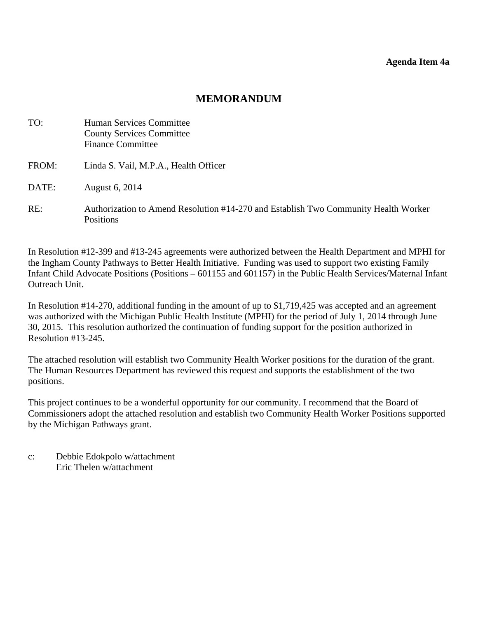#### **Agenda Item 4a**

# **MEMORANDUM**

<span id="page-16-0"></span>

| TO:   | Human Services Committee<br><b>County Services Committee</b><br><b>Finance Committee</b>                |
|-------|---------------------------------------------------------------------------------------------------------|
| FROM: | Linda S. Vail, M.P.A., Health Officer                                                                   |
| DATE: | August 6, 2014                                                                                          |
| RE:   | Authorization to Amend Resolution #14-270 and Establish Two Community Health Worker<br><b>Positions</b> |

In Resolution #12-399 and #13-245 agreements were authorized between the Health Department and MPHI for the Ingham County Pathways to Better Health Initiative. Funding was used to support two existing Family Infant Child Advocate Positions (Positions – 601155 and 601157) in the Public Health Services/Maternal Infant Outreach Unit.

In Resolution #14-270, additional funding in the amount of up to \$1,719,425 was accepted and an agreement was authorized with the Michigan Public Health Institute (MPHI) for the period of July 1, 2014 through June 30, 2015. This resolution authorized the continuation of funding support for the position authorized in Resolution #13-245.

The attached resolution will establish two Community Health Worker positions for the duration of the grant. The Human Resources Department has reviewed this request and supports the establishment of the two positions.

This project continues to be a wonderful opportunity for our community. I recommend that the Board of Commissioners adopt the attached resolution and establish two Community Health Worker Positions supported by the Michigan Pathways grant.

c: Debbie Edokpolo w/attachment Eric Thelen w/attachment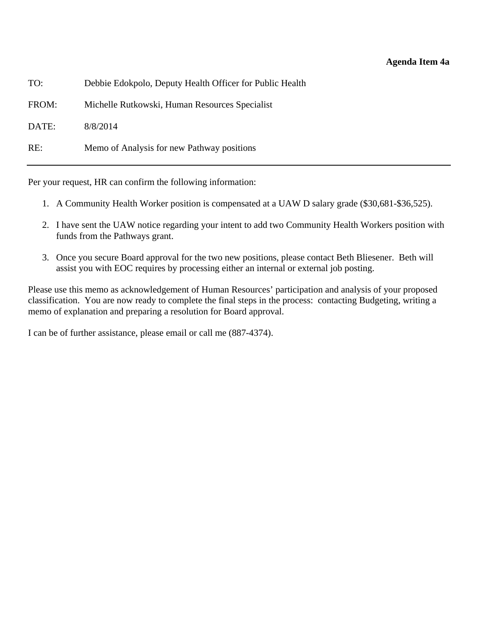| TO:   | Debbie Edokpolo, Deputy Health Officer for Public Health |
|-------|----------------------------------------------------------|
| FROM: | Michelle Rutkowski, Human Resources Specialist           |
| DATE: | 8/8/2014                                                 |
| RE:   | Memo of Analysis for new Pathway positions               |

Per your request, HR can confirm the following information:

- 1. A Community Health Worker position is compensated at a UAW D salary grade (\$30,681-\$36,525).
- 2. I have sent the UAW notice regarding your intent to add two Community Health Workers position with funds from the Pathways grant.
- 3. Once you secure Board approval for the two new positions, please contact Beth Bliesener. Beth will assist you with EOC requires by processing either an internal or external job posting.

Please use this memo as acknowledgement of Human Resources' participation and analysis of your proposed classification. You are now ready to complete the final steps in the process: contacting Budgeting, writing a memo of explanation and preparing a resolution for Board approval.

I can be of further assistance, please email or call me (887-4374).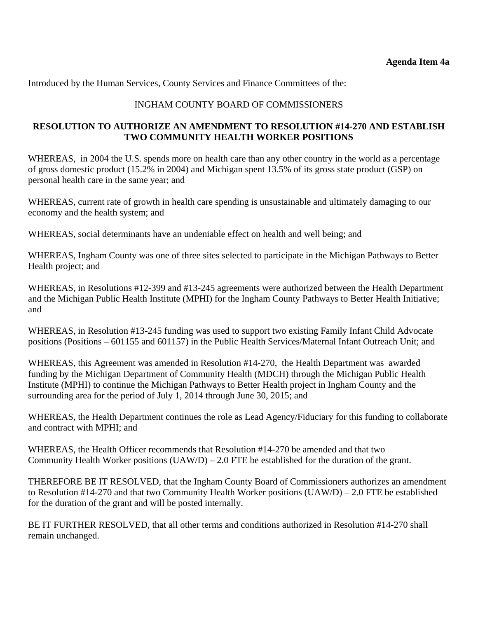Introduced by the Human Services, County Services and Finance Committees of the:

# INGHAM COUNTY BOARD OF COMMISSIONERS

# **RESOLUTION TO AUTHORIZE AN AMENDMENT TO RESOLUTION #14-270 AND ESTABLISH TWO COMMUNITY HEALTH WORKER POSITIONS**

WHEREAS, in 2004 the U.S. spends more on health care than any other country in the world as a percentage of gross domestic product (15.2% in 2004) and Michigan spent 13.5% of its gross state product (GSP) on personal health care in the same year; and

WHEREAS, current rate of growth in health care spending is unsustainable and ultimately damaging to our economy and the health system; and

WHEREAS, social determinants have an undeniable effect on health and well being; and

WHEREAS, Ingham County was one of three sites selected to participate in the Michigan Pathways to Better Health project; and

WHEREAS, in Resolutions #12-399 and #13-245 agreements were authorized between the Health Department and the Michigan Public Health Institute (MPHI) for the Ingham County Pathways to Better Health Initiative; and

WHEREAS, in Resolution #13-245 funding was used to support two existing Family Infant Child Advocate positions (Positions – 601155 and 601157) in the Public Health Services/Maternal Infant Outreach Unit; and

WHEREAS, this Agreement was amended in Resolution #14-270, the Health Department was awarded funding by the Michigan Department of Community Health (MDCH) through the Michigan Public Health Institute (MPHI) to continue the Michigan Pathways to Better Health project in Ingham County and the surrounding area for the period of July 1, 2014 through June 30, 2015; and

WHEREAS, the Health Department continues the role as Lead Agency/Fiduciary for this funding to collaborate and contract with MPHI; and

WHEREAS, the Health Officer recommends that Resolution #14-270 be amended and that two Community Health Worker positions  $(UAW/D) - 2.0$  FTE be established for the duration of the grant.

THEREFORE BE IT RESOLVED, that the Ingham County Board of Commissioners authorizes an amendment to Resolution #14-270 and that two Community Health Worker positions (UAW/D) – 2.0 FTE be established for the duration of the grant and will be posted internally.

BE IT FURTHER RESOLVED, that all other terms and conditions authorized in Resolution #14-270 shall remain unchanged.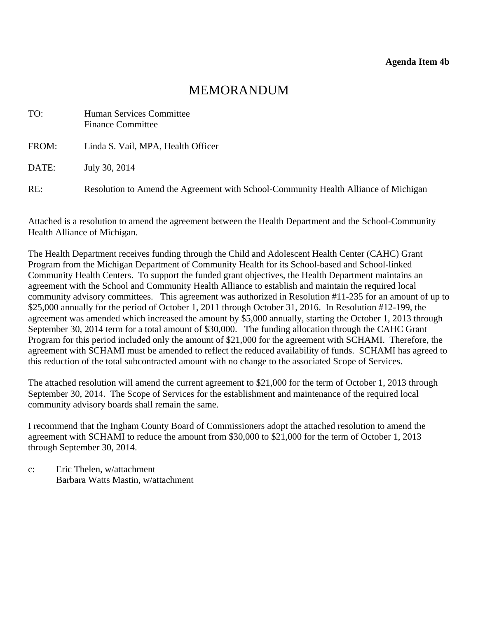<span id="page-19-0"></span>

| TO:   | Human Services Committee<br><b>Finance Committee</b>                                |
|-------|-------------------------------------------------------------------------------------|
| FROM: | Linda S. Vail, MPA, Health Officer                                                  |
| DATE: | July 30, 2014                                                                       |
| RE:   | Resolution to Amend the Agreement with School-Community Health Alliance of Michigan |

Attached is a resolution to amend the agreement between the Health Department and the School-Community Health Alliance of Michigan.

The Health Department receives funding through the Child and Adolescent Health Center (CAHC) Grant Program from the Michigan Department of Community Health for its School-based and School-linked Community Health Centers. To support the funded grant objectives, the Health Department maintains an agreement with the School and Community Health Alliance to establish and maintain the required local community advisory committees. This agreement was authorized in Resolution #11-235 for an amount of up to \$25,000 annually for the period of October 1, 2011 through October 31, 2016. In Resolution #12-199, the agreement was amended which increased the amount by \$5,000 annually, starting the October 1, 2013 through September 30, 2014 term for a total amount of \$30,000. The funding allocation through the CAHC Grant Program for this period included only the amount of \$21,000 for the agreement with SCHAMI. Therefore, the agreement with SCHAMI must be amended to reflect the reduced availability of funds. SCHAMI has agreed to this reduction of the total subcontracted amount with no change to the associated Scope of Services.

The attached resolution will amend the current agreement to \$21,000 for the term of October 1, 2013 through September 30, 2014. The Scope of Services for the establishment and maintenance of the required local community advisory boards shall remain the same.

I recommend that the Ingham County Board of Commissioners adopt the attached resolution to amend the agreement with SCHAMI to reduce the amount from \$30,000 to \$21,000 for the term of October 1, 2013 through September 30, 2014.

c: Eric Thelen, w/attachment Barbara Watts Mastin, w/attachment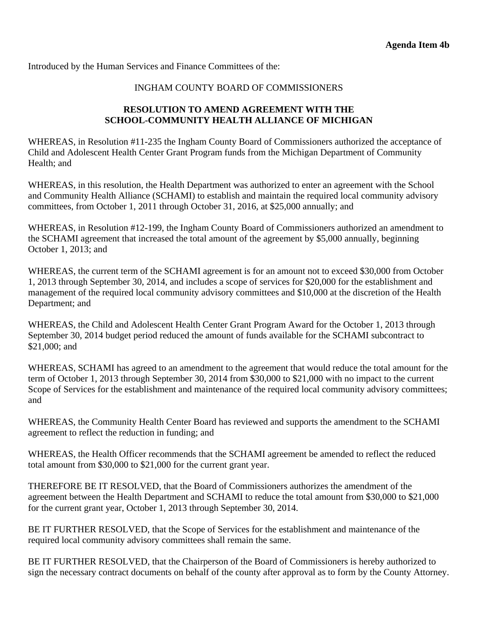#### INGHAM COUNTY BOARD OF COMMISSIONERS

# **RESOLUTION TO AMEND AGREEMENT WITH THE SCHOOL-COMMUNITY HEALTH ALLIANCE OF MICHIGAN**

WHEREAS, in Resolution #11-235 the Ingham County Board of Commissioners authorized the acceptance of Child and Adolescent Health Center Grant Program funds from the Michigan Department of Community Health; and

WHEREAS, in this resolution, the Health Department was authorized to enter an agreement with the School and Community Health Alliance (SCHAMI) to establish and maintain the required local community advisory committees, from October 1, 2011 through October 31, 2016, at \$25,000 annually; and

WHEREAS, in Resolution #12-199, the Ingham County Board of Commissioners authorized an amendment to the SCHAMI agreement that increased the total amount of the agreement by \$5,000 annually, beginning October 1, 2013; and

WHEREAS, the current term of the SCHAMI agreement is for an amount not to exceed \$30,000 from October 1, 2013 through September 30, 2014, and includes a scope of services for \$20,000 for the establishment and management of the required local community advisory committees and \$10,000 at the discretion of the Health Department; and

WHEREAS, the Child and Adolescent Health Center Grant Program Award for the October 1, 2013 through September 30, 2014 budget period reduced the amount of funds available for the SCHAMI subcontract to \$21,000; and

WHEREAS, SCHAMI has agreed to an amendment to the agreement that would reduce the total amount for the term of October 1, 2013 through September 30, 2014 from \$30,000 to \$21,000 with no impact to the current Scope of Services for the establishment and maintenance of the required local community advisory committees; and

WHEREAS, the Community Health Center Board has reviewed and supports the amendment to the SCHAMI agreement to reflect the reduction in funding; and

WHEREAS, the Health Officer recommends that the SCHAMI agreement be amended to reflect the reduced total amount from \$30,000 to \$21,000 for the current grant year.

THEREFORE BE IT RESOLVED, that the Board of Commissioners authorizes the amendment of the agreement between the Health Department and SCHAMI to reduce the total amount from \$30,000 to \$21,000 for the current grant year, October 1, 2013 through September 30, 2014.

BE IT FURTHER RESOLVED, that the Scope of Services for the establishment and maintenance of the required local community advisory committees shall remain the same.

BE IT FURTHER RESOLVED, that the Chairperson of the Board of Commissioners is hereby authorized to sign the necessary contract documents on behalf of the county after approval as to form by the County Attorney.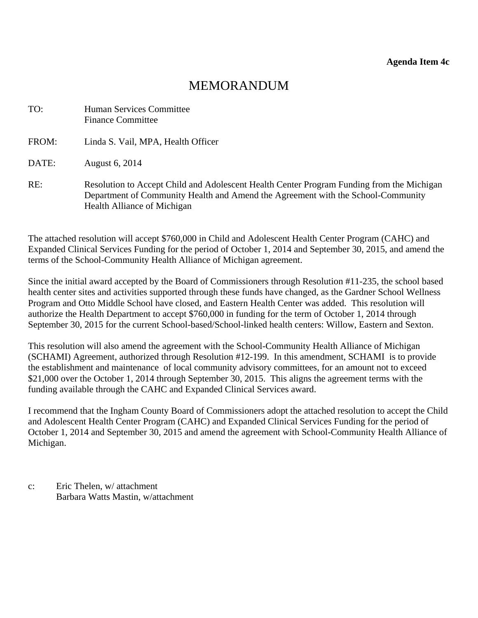<span id="page-21-0"></span>

| TO:   | Human Services Committee<br><b>Finance Committee</b>                                                                                                                                                         |
|-------|--------------------------------------------------------------------------------------------------------------------------------------------------------------------------------------------------------------|
| FROM: | Linda S. Vail, MPA, Health Officer                                                                                                                                                                           |
| DATE: | August 6, 2014                                                                                                                                                                                               |
| RE:   | Resolution to Accept Child and Adolescent Health Center Program Funding from the Michigan<br>Department of Community Health and Amend the Agreement with the School-Community<br>Health Alliance of Michigan |

The attached resolution will accept \$760,000 in Child and Adolescent Health Center Program (CAHC) and Expanded Clinical Services Funding for the period of October 1, 2014 and September 30, 2015, and amend the terms of the School-Community Health Alliance of Michigan agreement.

Since the initial award accepted by the Board of Commissioners through Resolution #11-235, the school based health center sites and activities supported through these funds have changed, as the Gardner School Wellness Program and Otto Middle School have closed, and Eastern Health Center was added. This resolution will authorize the Health Department to accept \$760,000 in funding for the term of October 1, 2014 through September 30, 2015 for the current School-based/School-linked health centers: Willow, Eastern and Sexton.

This resolution will also amend the agreement with the School-Community Health Alliance of Michigan (SCHAMI) Agreement, authorized through Resolution #12-199. In this amendment, SCHAMI is to provide the establishment and maintenance of local community advisory committees, for an amount not to exceed \$21,000 over the October 1, 2014 through September 30, 2015. This aligns the agreement terms with the funding available through the CAHC and Expanded Clinical Services award.

I recommend that the Ingham County Board of Commissioners adopt the attached resolution to accept the Child and Adolescent Health Center Program (CAHC) and Expanded Clinical Services Funding for the period of October 1, 2014 and September 30, 2015 and amend the agreement with School-Community Health Alliance of Michigan.

c: Eric Thelen, w/ attachment Barbara Watts Mastin, w/attachment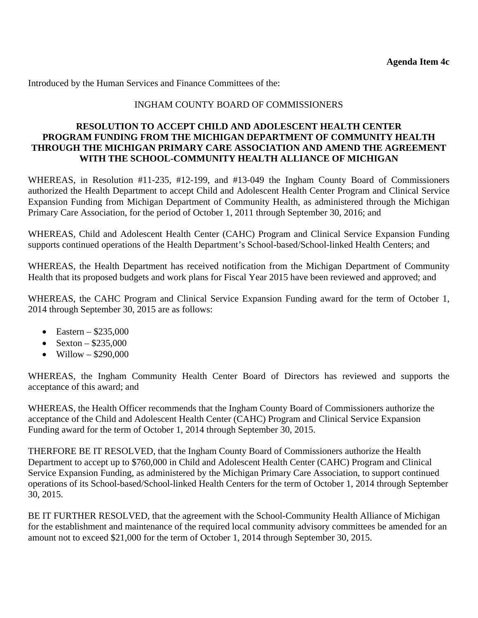# INGHAM COUNTY BOARD OF COMMISSIONERS

#### **RESOLUTION TO ACCEPT CHILD AND ADOLESCENT HEALTH CENTER PROGRAM FUNDING FROM THE MICHIGAN DEPARTMENT OF COMMUNITY HEALTH THROUGH THE MICHIGAN PRIMARY CARE ASSOCIATION AND AMEND THE AGREEMENT WITH THE SCHOOL-COMMUNITY HEALTH ALLIANCE OF MICHIGAN**

WHEREAS, in Resolution #11-235, #12-199, and #13-049 the Ingham County Board of Commissioners authorized the Health Department to accept Child and Adolescent Health Center Program and Clinical Service Expansion Funding from Michigan Department of Community Health, as administered through the Michigan Primary Care Association, for the period of October 1, 2011 through September 30, 2016; and

WHEREAS, Child and Adolescent Health Center (CAHC) Program and Clinical Service Expansion Funding supports continued operations of the Health Department's School-based/School-linked Health Centers; and

WHEREAS, the Health Department has received notification from the Michigan Department of Community Health that its proposed budgets and work plans for Fiscal Year 2015 have been reviewed and approved; and

WHEREAS, the CAHC Program and Clinical Service Expansion Funding award for the term of October 1, 2014 through September 30, 2015 are as follows:

- Eastern  $$235,000$
- Sexton  $$235,000$
- Willow  $-$  \$290,000

WHEREAS, the Ingham Community Health Center Board of Directors has reviewed and supports the acceptance of this award; and

WHEREAS, the Health Officer recommends that the Ingham County Board of Commissioners authorize the acceptance of the Child and Adolescent Health Center (CAHC) Program and Clinical Service Expansion Funding award for the term of October 1, 2014 through September 30, 2015.

THERFORE BE IT RESOLVED, that the Ingham County Board of Commissioners authorize the Health Department to accept up to \$760,000 in Child and Adolescent Health Center (CAHC) Program and Clinical Service Expansion Funding, as administered by the Michigan Primary Care Association, to support continued operations of its School-based/School-linked Health Centers for the term of October 1, 2014 through September 30, 2015.

BE IT FURTHER RESOLVED, that the agreement with the School-Community Health Alliance of Michigan for the establishment and maintenance of the required local community advisory committees be amended for an amount not to exceed \$21,000 for the term of October 1, 2014 through September 30, 2015.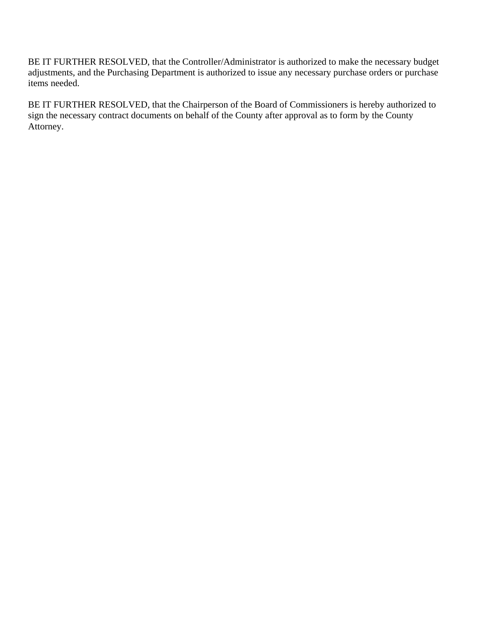BE IT FURTHER RESOLVED, that the Controller/Administrator is authorized to make the necessary budget adjustments, and the Purchasing Department is authorized to issue any necessary purchase orders or purchase items needed.

BE IT FURTHER RESOLVED, that the Chairperson of the Board of Commissioners is hereby authorized to sign the necessary contract documents on behalf of the County after approval as to form by the County Attorney.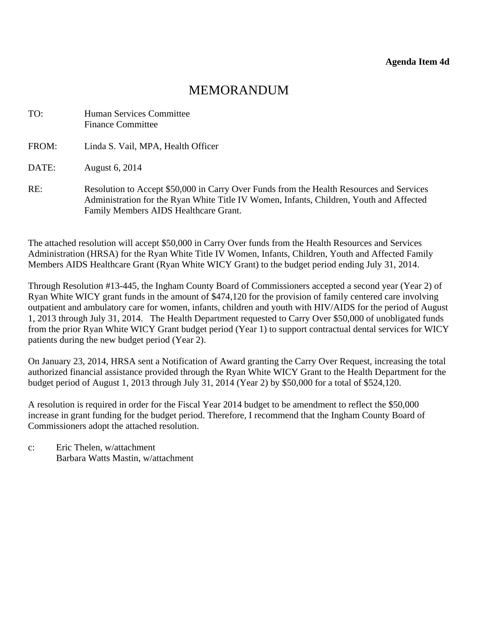# MEMORANDUM

<span id="page-24-0"></span>

| TO:   | Human Services Committee<br><b>Finance Committee</b>                                                                                                                                                                         |
|-------|------------------------------------------------------------------------------------------------------------------------------------------------------------------------------------------------------------------------------|
| FROM: | Linda S. Vail, MPA, Health Officer                                                                                                                                                                                           |
| DATE: | August 6, 2014                                                                                                                                                                                                               |
| RE:   | Resolution to Accept \$50,000 in Carry Over Funds from the Health Resources and Services<br>Administration for the Ryan White Title IV Women, Infants, Children, Youth and Affected<br>Family Members AIDS Healthcare Grant. |

The attached resolution will accept \$50,000 in Carry Over funds from the Health Resources and Services Administration (HRSA) for the Ryan White Title IV Women, Infants, Children, Youth and Affected Family Members AIDS Healthcare Grant (Ryan White WICY Grant) to the budget period ending July 31, 2014.

Through Resolution #13-445, the Ingham County Board of Commissioners accepted a second year (Year 2) of Ryan White WICY grant funds in the amount of \$474,120 for the provision of family centered care involving outpatient and ambulatory care for women, infants, children and youth with HIV/AIDS for the period of August 1, 2013 through July 31, 2014. The Health Department requested to Carry Over \$50,000 of unobligated funds from the prior Ryan White WICY Grant budget period (Year 1) to support contractual dental services for WICY patients during the new budget period (Year 2).

On January 23, 2014, HRSA sent a Notification of Award granting the Carry Over Request, increasing the total authorized financial assistance provided through the Ryan White WICY Grant to the Health Department for the budget period of August 1, 2013 through July 31, 2014 (Year 2) by \$50,000 for a total of \$524,120.

A resolution is required in order for the Fiscal Year 2014 budget to be amendment to reflect the \$50,000 increase in grant funding for the budget period. Therefore, I recommend that the Ingham County Board of Commissioners adopt the attached resolution.

c: Eric Thelen, w/attachment Barbara Watts Mastin, w/attachment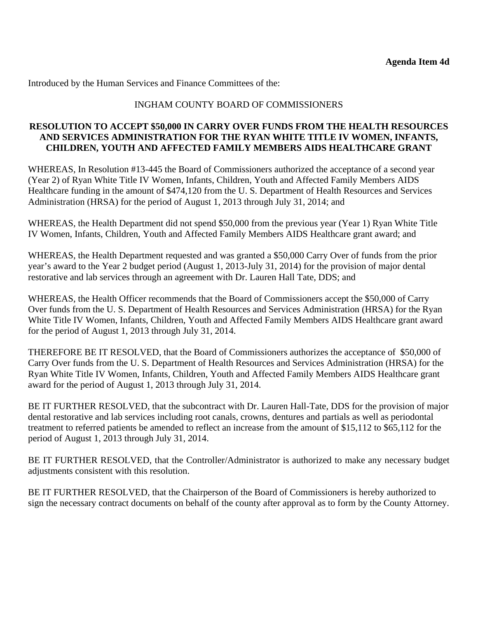# INGHAM COUNTY BOARD OF COMMISSIONERS

## **RESOLUTION TO ACCEPT \$50,000 IN CARRY OVER FUNDS FROM THE HEALTH RESOURCES AND SERVICES ADMINISTRATION FOR THE RYAN WHITE TITLE IV WOMEN, INFANTS, CHILDREN, YOUTH AND AFFECTED FAMILY MEMBERS AIDS HEALTHCARE GRANT**

WHEREAS, In Resolution #13-445 the Board of Commissioners authorized the acceptance of a second year (Year 2) of Ryan White Title IV Women, Infants, Children, Youth and Affected Family Members AIDS Healthcare funding in the amount of \$474,120 from the U. S. Department of Health Resources and Services Administration (HRSA) for the period of August 1, 2013 through July 31, 2014; and

WHEREAS, the Health Department did not spend \$50,000 from the previous year (Year 1) Ryan White Title IV Women, Infants, Children, Youth and Affected Family Members AIDS Healthcare grant award; and

WHEREAS, the Health Department requested and was granted a \$50,000 Carry Over of funds from the prior year's award to the Year 2 budget period (August 1, 2013-July 31, 2014) for the provision of major dental restorative and lab services through an agreement with Dr. Lauren Hall Tate, DDS; and

WHEREAS, the Health Officer recommends that the Board of Commissioners accept the \$50,000 of Carry Over funds from the U. S. Department of Health Resources and Services Administration (HRSA) for the Ryan White Title IV Women, Infants, Children, Youth and Affected Family Members AIDS Healthcare grant award for the period of August 1, 2013 through July 31, 2014.

THEREFORE BE IT RESOLVED, that the Board of Commissioners authorizes the acceptance of \$50,000 of Carry Over funds from the U. S. Department of Health Resources and Services Administration (HRSA) for the Ryan White Title IV Women, Infants, Children, Youth and Affected Family Members AIDS Healthcare grant award for the period of August 1, 2013 through July 31, 2014.

BE IT FURTHER RESOLVED, that the subcontract with Dr. Lauren Hall-Tate, DDS for the provision of major dental restorative and lab services including root canals, crowns, dentures and partials as well as periodontal treatment to referred patients be amended to reflect an increase from the amount of \$15,112 to \$65,112 for the period of August 1, 2013 through July 31, 2014.

BE IT FURTHER RESOLVED, that the Controller/Administrator is authorized to make any necessary budget adjustments consistent with this resolution.

BE IT FURTHER RESOLVED, that the Chairperson of the Board of Commissioners is hereby authorized to sign the necessary contract documents on behalf of the county after approval as to form by the County Attorney.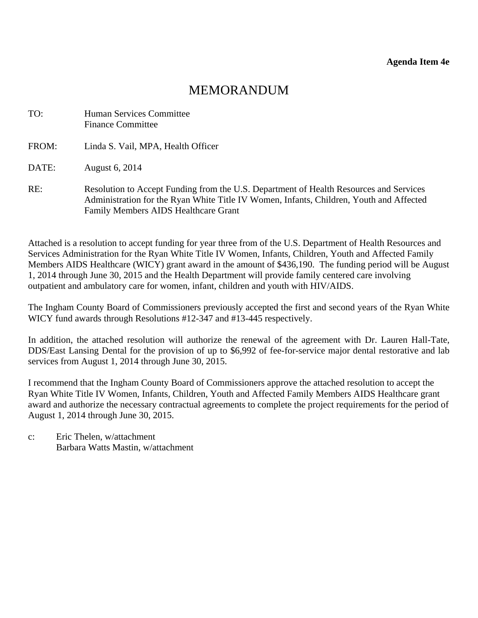<span id="page-26-0"></span>

| TO:   | Human Services Committee<br><b>Finance Committee</b>                                                                                                                                                                             |
|-------|----------------------------------------------------------------------------------------------------------------------------------------------------------------------------------------------------------------------------------|
| FROM: | Linda S. Vail, MPA, Health Officer                                                                                                                                                                                               |
| DATE: | August 6, 2014                                                                                                                                                                                                                   |
| RE:   | Resolution to Accept Funding from the U.S. Department of Health Resources and Services<br>Administration for the Ryan White Title IV Women, Infants, Children, Youth and Affected<br><b>Family Members AIDS Healthcare Grant</b> |

Attached is a resolution to accept funding for year three from of the U.S. Department of Health Resources and Services Administration for the Ryan White Title IV Women, Infants, Children, Youth and Affected Family Members AIDS Healthcare (WICY) grant award in the amount of \$436,190. The funding period will be August 1, 2014 through June 30, 2015 and the Health Department will provide family centered care involving outpatient and ambulatory care for women, infant, children and youth with HIV/AIDS.

The Ingham County Board of Commissioners previously accepted the first and second years of the Ryan White WICY fund awards through Resolutions #12-347 and #13-445 respectively.

In addition, the attached resolution will authorize the renewal of the agreement with Dr. Lauren Hall-Tate, DDS/East Lansing Dental for the provision of up to \$6,992 of fee-for-service major dental restorative and lab services from August 1, 2014 through June 30, 2015.

I recommend that the Ingham County Board of Commissioners approve the attached resolution to accept the Ryan White Title IV Women, Infants, Children, Youth and Affected Family Members AIDS Healthcare grant award and authorize the necessary contractual agreements to complete the project requirements for the period of August 1, 2014 through June 30, 2015.

c: Eric Thelen, w/attachment Barbara Watts Mastin, w/attachment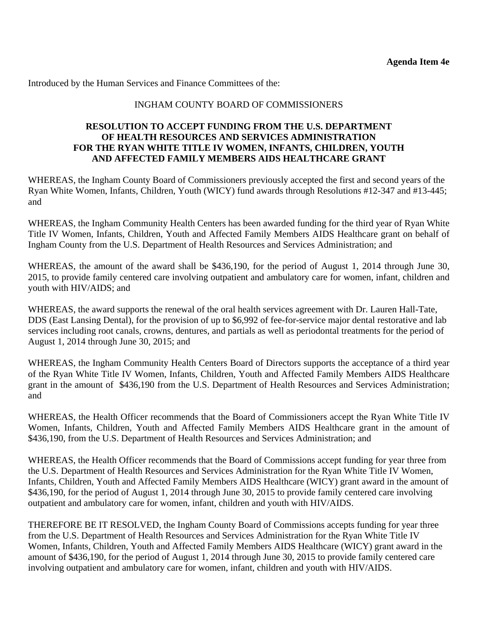# INGHAM COUNTY BOARD OF COMMISSIONERS

#### **RESOLUTION TO ACCEPT FUNDING FROM THE U.S. DEPARTMENT OF HEALTH RESOURCES AND SERVICES ADMINISTRATION FOR THE RYAN WHITE TITLE IV WOMEN, INFANTS, CHILDREN, YOUTH AND AFFECTED FAMILY MEMBERS AIDS HEALTHCARE GRANT**

WHEREAS, the Ingham County Board of Commissioners previously accepted the first and second years of the Ryan White Women, Infants, Children, Youth (WICY) fund awards through Resolutions #12-347 and #13-445; and

WHEREAS, the Ingham Community Health Centers has been awarded funding for the third year of Ryan White Title IV Women, Infants, Children, Youth and Affected Family Members AIDS Healthcare grant on behalf of Ingham County from the U.S. Department of Health Resources and Services Administration; and

WHEREAS, the amount of the award shall be \$436,190, for the period of August 1, 2014 through June 30, 2015, to provide family centered care involving outpatient and ambulatory care for women, infant, children and youth with HIV/AIDS; and

WHEREAS, the award supports the renewal of the oral health services agreement with Dr. Lauren Hall-Tate, DDS (East Lansing Dental), for the provision of up to \$6,992 of fee-for-service major dental restorative and lab services including root canals, crowns, dentures, and partials as well as periodontal treatments for the period of August 1, 2014 through June 30, 2015; and

WHEREAS, the Ingham Community Health Centers Board of Directors supports the acceptance of a third year of the Ryan White Title IV Women, Infants, Children, Youth and Affected Family Members AIDS Healthcare grant in the amount of \$436,190 from the U.S. Department of Health Resources and Services Administration; and

WHEREAS, the Health Officer recommends that the Board of Commissioners accept the Ryan White Title IV Women, Infants, Children, Youth and Affected Family Members AIDS Healthcare grant in the amount of \$436,190, from the U.S. Department of Health Resources and Services Administration; and

WHEREAS, the Health Officer recommends that the Board of Commissions accept funding for year three from the U.S. Department of Health Resources and Services Administration for the Ryan White Title IV Women, Infants, Children, Youth and Affected Family Members AIDS Healthcare (WICY) grant award in the amount of \$436,190, for the period of August 1, 2014 through June 30, 2015 to provide family centered care involving outpatient and ambulatory care for women, infant, children and youth with HIV/AIDS.

THEREFORE BE IT RESOLVED, the Ingham County Board of Commissions accepts funding for year three from the U.S. Department of Health Resources and Services Administration for the Ryan White Title IV Women, Infants, Children, Youth and Affected Family Members AIDS Healthcare (WICY) grant award in the amount of \$436,190, for the period of August 1, 2014 through June 30, 2015 to provide family centered care involving outpatient and ambulatory care for women, infant, children and youth with HIV/AIDS.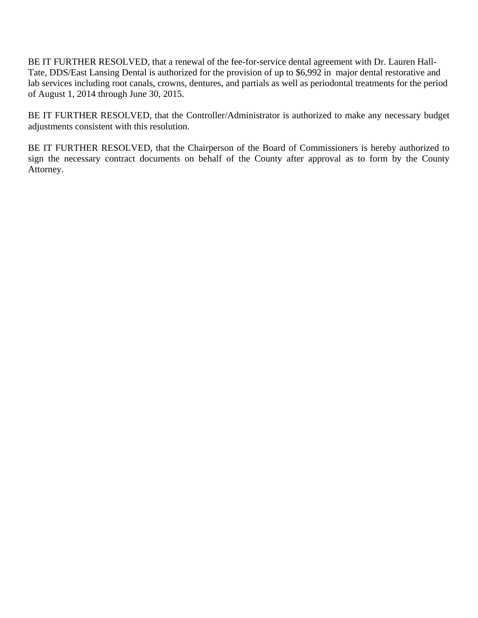BE IT FURTHER RESOLVED, that a renewal of the fee-for-service dental agreement with Dr. Lauren Hall-Tate, DDS/East Lansing Dental is authorized for the provision of up to \$6,992 in major dental restorative and lab services including root canals, crowns, dentures, and partials as well as periodontal treatments for the period of August 1, 2014 through June 30, 2015.

BE IT FURTHER RESOLVED, that the Controller/Administrator is authorized to make any necessary budget adjustments consistent with this resolution.

BE IT FURTHER RESOLVED, that the Chairperson of the Board of Commissioners is hereby authorized to sign the necessary contract documents on behalf of the County after approval as to form by the County Attorney.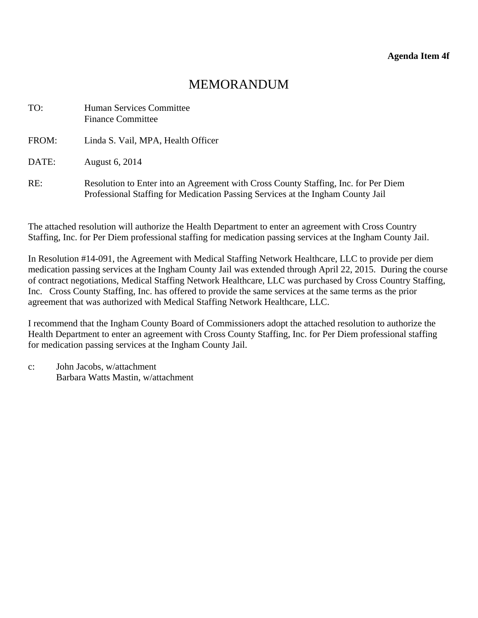<span id="page-29-0"></span>

| TO:   | Human Services Committee<br><b>Finance Committee</b>                                                                                                                   |
|-------|------------------------------------------------------------------------------------------------------------------------------------------------------------------------|
| FROM: | Linda S. Vail, MPA, Health Officer                                                                                                                                     |
| DATE: | August 6, 2014                                                                                                                                                         |
| RE:   | Resolution to Enter into an Agreement with Cross County Staffing, Inc. for Per Diem<br>Professional Staffing for Medication Passing Services at the Ingham County Jail |

The attached resolution will authorize the Health Department to enter an agreement with Cross Country Staffing, Inc. for Per Diem professional staffing for medication passing services at the Ingham County Jail.

In Resolution #14-091, the Agreement with Medical Staffing Network Healthcare, LLC to provide per diem medication passing services at the Ingham County Jail was extended through April 22, 2015. During the course of contract negotiations, Medical Staffing Network Healthcare, LLC was purchased by Cross Country Staffing, Inc. Cross County Staffing, Inc. has offered to provide the same services at the same terms as the prior agreement that was authorized with Medical Staffing Network Healthcare, LLC.

I recommend that the Ingham County Board of Commissioners adopt the attached resolution to authorize the Health Department to enter an agreement with Cross County Staffing, Inc. for Per Diem professional staffing for medication passing services at the Ingham County Jail.

c: John Jacobs, w/attachment Barbara Watts Mastin, w/attachment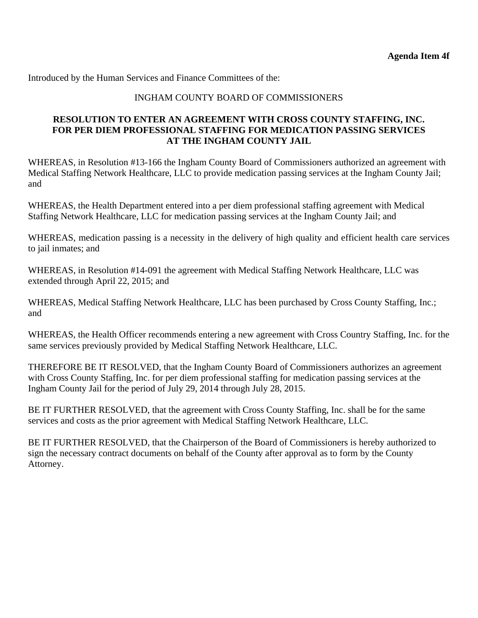#### INGHAM COUNTY BOARD OF COMMISSIONERS

#### **RESOLUTION TO ENTER AN AGREEMENT WITH CROSS COUNTY STAFFING, INC. FOR PER DIEM PROFESSIONAL STAFFING FOR MEDICATION PASSING SERVICES AT THE INGHAM COUNTY JAIL**

WHEREAS, in Resolution #13-166 the Ingham County Board of Commissioners authorized an agreement with Medical Staffing Network Healthcare, LLC to provide medication passing services at the Ingham County Jail; and

WHEREAS, the Health Department entered into a per diem professional staffing agreement with Medical Staffing Network Healthcare, LLC for medication passing services at the Ingham County Jail; and

WHEREAS, medication passing is a necessity in the delivery of high quality and efficient health care services to jail inmates; and

WHEREAS, in Resolution #14-091 the agreement with Medical Staffing Network Healthcare, LLC was extended through April 22, 2015; and

WHEREAS, Medical Staffing Network Healthcare, LLC has been purchased by Cross County Staffing, Inc.; and

WHEREAS, the Health Officer recommends entering a new agreement with Cross Country Staffing, Inc. for the same services previously provided by Medical Staffing Network Healthcare, LLC.

THEREFORE BE IT RESOLVED, that the Ingham County Board of Commissioners authorizes an agreement with Cross County Staffing, Inc. for per diem professional staffing for medication passing services at the Ingham County Jail for the period of July 29, 2014 through July 28, 2015.

BE IT FURTHER RESOLVED, that the agreement with Cross County Staffing, Inc. shall be for the same services and costs as the prior agreement with Medical Staffing Network Healthcare, LLC.

BE IT FURTHER RESOLVED, that the Chairperson of the Board of Commissioners is hereby authorized to sign the necessary contract documents on behalf of the County after approval as to form by the County Attorney.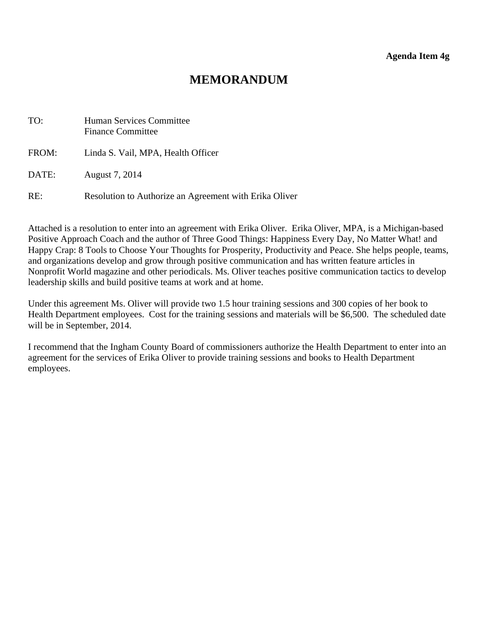<span id="page-31-0"></span>

| TO:   | <b>Human Services Committee</b><br><b>Finance Committee</b> |
|-------|-------------------------------------------------------------|
| FROM: | Linda S. Vail, MPA, Health Officer                          |
| DATE: | August 7, 2014                                              |
| RE:   | Resolution to Authorize an Agreement with Erika Oliver      |

Attached is a resolution to enter into an agreement with Erika Oliver. Erika Oliver, MPA, is a Michigan-based Positive Approach Coach and the author of Three Good Things: Happiness Every Day, No Matter What! and Happy Crap: 8 Tools to Choose Your Thoughts for Prosperity, Productivity and Peace. She helps people, teams, and organizations develop and grow through positive communication and has written feature articles in Nonprofit World magazine and other periodicals. Ms. Oliver teaches positive communication tactics to develop leadership skills and build positive teams at work and at home.

Under this agreement Ms. Oliver will provide two 1.5 hour training sessions and 300 copies of her book to Health Department employees. Cost for the training sessions and materials will be \$6,500. The scheduled date will be in September, 2014.

I recommend that the Ingham County Board of commissioners authorize the Health Department to enter into an agreement for the services of Erika Oliver to provide training sessions and books to Health Department employees.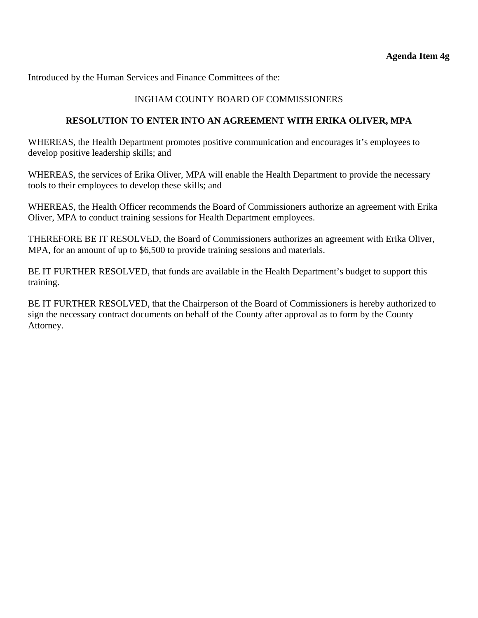### INGHAM COUNTY BOARD OF COMMISSIONERS

### **RESOLUTION TO ENTER INTO AN AGREEMENT WITH ERIKA OLIVER, MPA**

WHEREAS, the Health Department promotes positive communication and encourages it's employees to develop positive leadership skills; and

WHEREAS, the services of Erika Oliver, MPA will enable the Health Department to provide the necessary tools to their employees to develop these skills; and

WHEREAS, the Health Officer recommends the Board of Commissioners authorize an agreement with Erika Oliver, MPA to conduct training sessions for Health Department employees.

THEREFORE BE IT RESOLVED, the Board of Commissioners authorizes an agreement with Erika Oliver, MPA, for an amount of up to \$6,500 to provide training sessions and materials.

BE IT FURTHER RESOLVED, that funds are available in the Health Department's budget to support this training.

BE IT FURTHER RESOLVED, that the Chairperson of the Board of Commissioners is hereby authorized to sign the necessary contract documents on behalf of the County after approval as to form by the County Attorney.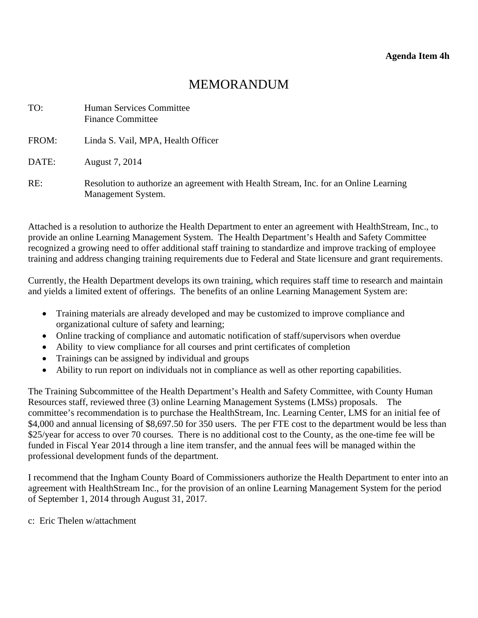<span id="page-33-0"></span>

| TO:   | <b>Human Services Committee</b><br><b>Finance Committee</b>                                                |
|-------|------------------------------------------------------------------------------------------------------------|
| FROM: | Linda S. Vail, MPA, Health Officer                                                                         |
| DATE: | August 7, 2014                                                                                             |
| RE:   | Resolution to authorize an agreement with Health Stream, Inc. for an Online Learning<br>Management System. |

Attached is a resolution to authorize the Health Department to enter an agreement with HealthStream, Inc., to provide an online Learning Management System. The Health Department's Health and Safety Committee recognized a growing need to offer additional staff training to standardize and improve tracking of employee training and address changing training requirements due to Federal and State licensure and grant requirements.

Currently, the Health Department develops its own training, which requires staff time to research and maintain and yields a limited extent of offerings. The benefits of an online Learning Management System are:

- Training materials are already developed and may be customized to improve compliance and organizational culture of safety and learning;
- Online tracking of compliance and automatic notification of staff/supervisors when overdue
- Ability to view compliance for all courses and print certificates of completion
- Trainings can be assigned by individual and groups
- Ability to run report on individuals not in compliance as well as other reporting capabilities.

The Training Subcommittee of the Health Department's Health and Safety Committee, with County Human Resources staff, reviewed three (3) online Learning Management Systems (LMSs) proposals. The committee's recommendation is to purchase the HealthStream, Inc. Learning Center, LMS for an initial fee of \$4,000 and annual licensing of \$8,697.50 for 350 users. The per FTE cost to the department would be less than \$25/year for access to over 70 courses. There is no additional cost to the County, as the one-time fee will be funded in Fiscal Year 2014 through a line item transfer, and the annual fees will be managed within the professional development funds of the department.

I recommend that the Ingham County Board of Commissioners authorize the Health Department to enter into an agreement with HealthStream Inc., for the provision of an online Learning Management System for the period of September 1, 2014 through August 31, 2017.

c: Eric Thelen w/attachment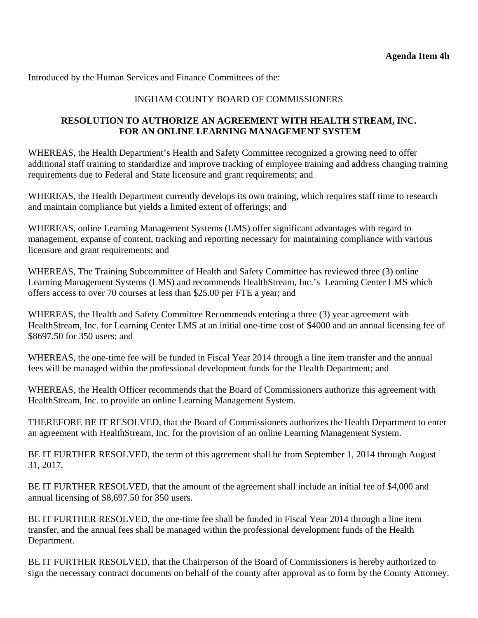#### INGHAM COUNTY BOARD OF COMMISSIONERS

## **RESOLUTION TO AUTHORIZE AN AGREEMENT WITH HEALTH STREAM, INC. FOR AN ONLINE LEARNING MANAGEMENT SYSTEM**

WHEREAS, the Health Department's Health and Safety Committee recognized a growing need to offer additional staff training to standardize and improve tracking of employee training and address changing training requirements due to Federal and State licensure and grant requirements; and

WHEREAS, the Health Department currently develops its own training, which requires staff time to research and maintain compliance but yields a limited extent of offerings; and

WHEREAS, online Learning Management Systems (LMS) offer significant advantages with regard to management, expanse of content, tracking and reporting necessary for maintaining compliance with various licensure and grant requirements; and

WHEREAS, The Training Subcommittee of Health and Safety Committee has reviewed three (3) online Learning Management Systems (LMS) and recommends HealthStream, Inc.'s Learning Center LMS which offers access to over 70 courses at less than \$25.00 per FTE a year; and

WHEREAS, the Health and Safety Committee Recommends entering a three (3) year agreement with HealthStream, Inc. for Learning Center LMS at an initial one-time cost of \$4000 and an annual licensing fee of \$8697.50 for 350 users; and

WHEREAS, the one-time fee will be funded in Fiscal Year 2014 through a line item transfer and the annual fees will be managed within the professional development funds for the Health Department; and

WHEREAS, the Health Officer recommends that the Board of Commissioners authorize this agreement with HealthStream, Inc. to provide an online Learning Management System.

THEREFORE BE IT RESOLVED, that the Board of Commissioners authorizes the Health Department to enter an agreement with HealthStream, Inc. for the provision of an online Learning Management System.

BE IT FURTHER RESOLVED, the term of this agreement shall be from September 1, 2014 through August 31, 2017.

BE IT FURTHER RESOLVED, that the amount of the agreement shall include an initial fee of \$4,000 and annual licensing of \$8,697.50 for 350 users.

BE IT FURTHER RESOLVED, the one-time fee shall be funded in Fiscal Year 2014 through a line item transfer, and the annual fees shall be managed within the professional development funds of the Health Department.

BE IT FURTHER RESOLVED, that the Chairperson of the Board of Commissioners is hereby authorized to sign the necessary contract documents on behalf of the county after approval as to form by the County Attorney.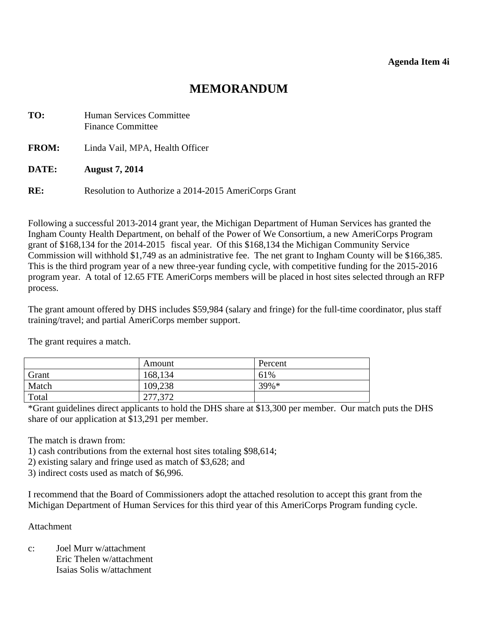<span id="page-35-0"></span>

| TO:          | <b>Human Services Committee</b><br><b>Finance Committee</b> |  |
|--------------|-------------------------------------------------------------|--|
| <b>FROM:</b> | Linda Vail, MPA, Health Officer                             |  |
| DATE:        | <b>August 7, 2014</b>                                       |  |
| RE:          | Resolution to Authorize a 2014-2015 AmeriCorps Grant        |  |

Following a successful 2013-2014 grant year, the Michigan Department of Human Services has granted the Ingham County Health Department, on behalf of the Power of We Consortium, a new AmeriCorps Program grant of \$168,134 for the 2014-2015 fiscal year. Of this \$168,134 the Michigan Community Service Commission will withhold \$1,749 as an administrative fee. The net grant to Ingham County will be \$166,385. This is the third program year of a new three-year funding cycle, with competitive funding for the 2015-2016 program year. A total of 12.65 FTE AmeriCorps members will be placed in host sites selected through an RFP process.

The grant amount offered by DHS includes \$59,984 (salary and fringe) for the full-time coordinator, plus staff training/travel; and partial AmeriCorps member support.

The grant requires a match.

|       | Amount  | Percent  |
|-------|---------|----------|
| Grant | 168,134 | 61%      |
| Match | 109,238 | $39\% *$ |
| Total | 277,372 |          |

\*Grant guidelines direct applicants to hold the DHS share at \$13,300 per member. Our match puts the DHS share of our application at \$13,291 per member.

The match is drawn from:

1) cash contributions from the external host sites totaling \$98,614;

2) existing salary and fringe used as match of \$3,628; and

3) indirect costs used as match of \$6,996.

I recommend that the Board of Commissioners adopt the attached resolution to accept this grant from the Michigan Department of Human Services for this third year of this AmeriCorps Program funding cycle.

#### Attachment

c: Joel Murr w/attachment Eric Thelen w/attachment Isaias Solis w/attachment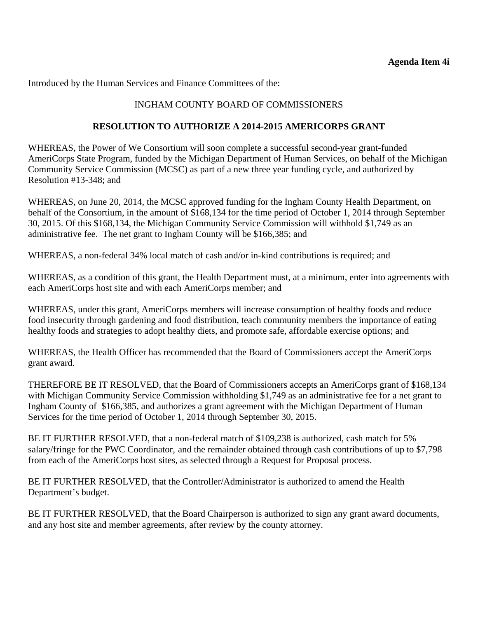# INGHAM COUNTY BOARD OF COMMISSIONERS

# **RESOLUTION TO AUTHORIZE A 2014-2015 AMERICORPS GRANT**

WHEREAS, the Power of We Consortium will soon complete a successful second-year grant-funded AmeriCorps State Program, funded by the Michigan Department of Human Services, on behalf of the Michigan Community Service Commission (MCSC) as part of a new three year funding cycle, and authorized by Resolution #13-348; and

WHEREAS, on June 20, 2014, the MCSC approved funding for the Ingham County Health Department, on behalf of the Consortium, in the amount of \$168,134 for the time period of October 1, 2014 through September 30, 2015. Of this \$168,134, the Michigan Community Service Commission will withhold \$1,749 as an administrative fee. The net grant to Ingham County will be \$166,385; and

WHEREAS, a non-federal 34% local match of cash and/or in-kind contributions is required; and

WHEREAS, as a condition of this grant, the Health Department must, at a minimum, enter into agreements with each AmeriCorps host site and with each AmeriCorps member; and

WHEREAS, under this grant, AmeriCorps members will increase consumption of healthy foods and reduce food insecurity through gardening and food distribution, teach community members the importance of eating healthy foods and strategies to adopt healthy diets, and promote safe, affordable exercise options; and

WHEREAS, the Health Officer has recommended that the Board of Commissioners accept the AmeriCorps grant award.

THEREFORE BE IT RESOLVED, that the Board of Commissioners accepts an AmeriCorps grant of \$168,134 with Michigan Community Service Commission withholding \$1,749 as an administrative fee for a net grant to Ingham County of \$166,385, and authorizes a grant agreement with the Michigan Department of Human Services for the time period of October 1, 2014 through September 30, 2015.

BE IT FURTHER RESOLVED, that a non-federal match of \$109,238 is authorized, cash match for 5% salary/fringe for the PWC Coordinator, and the remainder obtained through cash contributions of up to \$7,798 from each of the AmeriCorps host sites, as selected through a Request for Proposal process.

BE IT FURTHER RESOLVED, that the Controller/Administrator is authorized to amend the Health Department's budget.

BE IT FURTHER RESOLVED, that the Board Chairperson is authorized to sign any grant award documents, and any host site and member agreements, after review by the county attorney.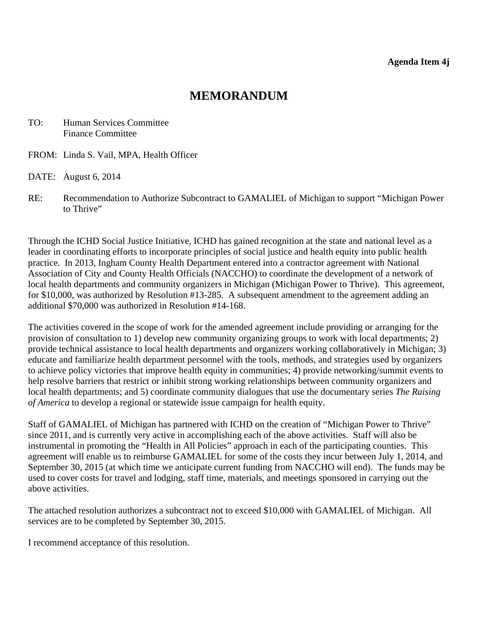<span id="page-37-0"></span>TO: Human Services Committee Finance Committee

- FROM: Linda S. Vail, MPA, Health Officer
- DATE: August 6, 2014
- RE: Recommendation to Authorize Subcontract to GAMALIEL of Michigan to support "Michigan Power to Thrive"

Through the ICHD Social Justice Initiative, ICHD has gained recognition at the state and national level as a leader in coordinating efforts to incorporate principles of social justice and health equity into public health practice. In 2013, Ingham County Health Department entered into a contractor agreement with National Association of City and County Health Officials (NACCHO) to coordinate the development of a network of local health departments and community organizers in Michigan (Michigan Power to Thrive). This agreement, for \$10,000, was authorized by Resolution #13-285. A subsequent amendment to the agreement adding an additional \$70,000 was authorized in Resolution #14-168.

The activities covered in the scope of work for the amended agreement include providing or arranging for the provision of consultation to 1) develop new community organizing groups to work with local departments; 2) provide technical assistance to local health departments and organizers working collaboratively in Michigan; 3) educate and familiarize health department personnel with the tools, methods, and strategies used by organizers to achieve policy victories that improve health equity in communities; 4) provide networking/summit events to help resolve barriers that restrict or inhibit strong working relationships between community organizers and local health departments; and 5) coordinate community dialogues that use the documentary series *The Raising of America* to develop a regional or statewide issue campaign for health equity.

Staff of GAMALIEL of Michigan has partnered with ICHD on the creation of "Michigan Power to Thrive" since 2011, and is currently very active in accomplishing each of the above activities. Staff will also be instrumental in promoting the "Health in All Policies" approach in each of the participating counties. This agreement will enable us to reimburse GAMALIEL for some of the costs they incur between July 1, 2014, and September 30, 2015 (at which time we anticipate current funding from NACCHO will end). The funds may be used to cover costs for travel and lodging, staff time, materials, and meetings sponsored in carrying out the above activities.

The attached resolution authorizes a subcontract not to exceed \$10,000 with GAMALIEL of Michigan. All services are to be completed by September 30, 2015.

I recommend acceptance of this resolution.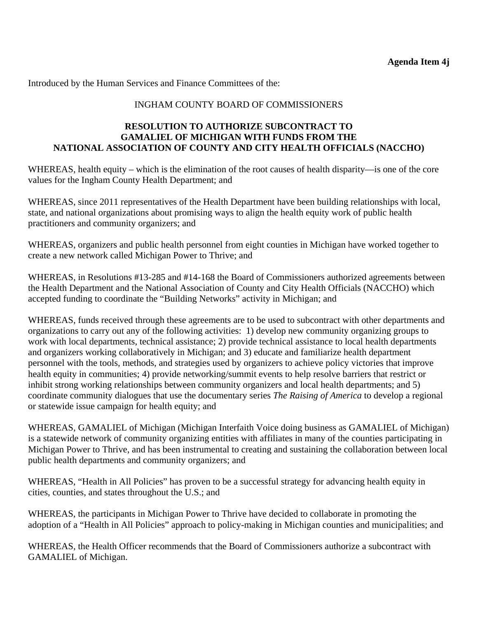# INGHAM COUNTY BOARD OF COMMISSIONERS

## **RESOLUTION TO AUTHORIZE SUBCONTRACT TO GAMALIEL OF MICHIGAN WITH FUNDS FROM THE NATIONAL ASSOCIATION OF COUNTY AND CITY HEALTH OFFICIALS (NACCHO)**

WHEREAS, health equity – which is the elimination of the root causes of health disparity—is one of the core values for the Ingham County Health Department; and

WHEREAS, since 2011 representatives of the Health Department have been building relationships with local, state, and national organizations about promising ways to align the health equity work of public health practitioners and community organizers; and

WHEREAS, organizers and public health personnel from eight counties in Michigan have worked together to create a new network called Michigan Power to Thrive; and

WHEREAS, in Resolutions #13-285 and #14-168 the Board of Commissioners authorized agreements between the Health Department and the National Association of County and City Health Officials (NACCHO) which accepted funding to coordinate the "Building Networks" activity in Michigan; and

WHEREAS, funds received through these agreements are to be used to subcontract with other departments and organizations to carry out any of the following activities: 1) develop new community organizing groups to work with local departments, technical assistance; 2) provide technical assistance to local health departments and organizers working collaboratively in Michigan; and 3) educate and familiarize health department personnel with the tools, methods, and strategies used by organizers to achieve policy victories that improve health equity in communities; 4) provide networking/summit events to help resolve barriers that restrict or inhibit strong working relationships between community organizers and local health departments; and 5) coordinate community dialogues that use the documentary series *The Raising of America* to develop a regional or statewide issue campaign for health equity; and

WHEREAS, GAMALIEL of Michigan (Michigan Interfaith Voice doing business as GAMALIEL of Michigan) is a statewide network of community organizing entities with affiliates in many of the counties participating in Michigan Power to Thrive, and has been instrumental to creating and sustaining the collaboration between local public health departments and community organizers; and

WHEREAS, "Health in All Policies" has proven to be a successful strategy for advancing health equity in cities, counties, and states throughout the U.S.; and

WHEREAS, the participants in Michigan Power to Thrive have decided to collaborate in promoting the adoption of a "Health in All Policies" approach to policy-making in Michigan counties and municipalities; and

WHEREAS, the Health Officer recommends that the Board of Commissioners authorize a subcontract with GAMALIEL of Michigan.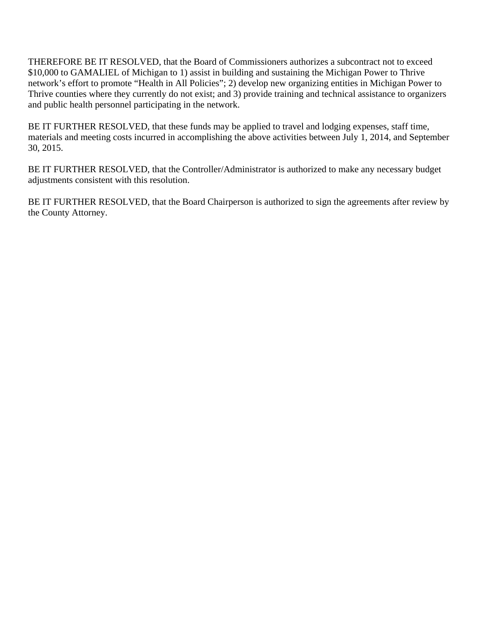THEREFORE BE IT RESOLVED, that the Board of Commissioners authorizes a subcontract not to exceed \$10,000 to GAMALIEL of Michigan to 1) assist in building and sustaining the Michigan Power to Thrive network's effort to promote "Health in All Policies"; 2) develop new organizing entities in Michigan Power to Thrive counties where they currently do not exist; and 3) provide training and technical assistance to organizers and public health personnel participating in the network.

BE IT FURTHER RESOLVED, that these funds may be applied to travel and lodging expenses, staff time, materials and meeting costs incurred in accomplishing the above activities between July 1, 2014, and September 30, 2015.

BE IT FURTHER RESOLVED, that the Controller/Administrator is authorized to make any necessary budget adjustments consistent with this resolution.

BE IT FURTHER RESOLVED, that the Board Chairperson is authorized to sign the agreements after review by the County Attorney.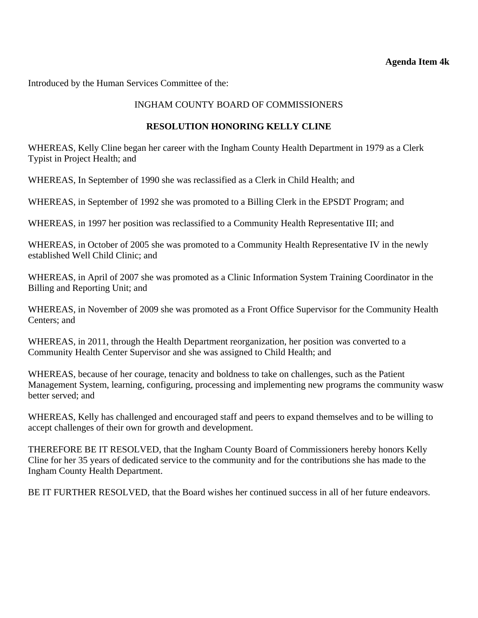#### **Agenda Item 4k**

<span id="page-40-0"></span>Introduced by the Human Services Committee of the:

## INGHAM COUNTY BOARD OF COMMISSIONERS

#### **RESOLUTION HONORING KELLY CLINE**

WHEREAS, Kelly Cline began her career with the Ingham County Health Department in 1979 as a Clerk Typist in Project Health; and

WHEREAS, In September of 1990 she was reclassified as a Clerk in Child Health; and

WHEREAS, in September of 1992 she was promoted to a Billing Clerk in the EPSDT Program; and

WHEREAS, in 1997 her position was reclassified to a Community Health Representative III; and

WHEREAS, in October of 2005 she was promoted to a Community Health Representative IV in the newly established Well Child Clinic; and

WHEREAS, in April of 2007 she was promoted as a Clinic Information System Training Coordinator in the Billing and Reporting Unit; and

WHEREAS, in November of 2009 she was promoted as a Front Office Supervisor for the Community Health Centers; and

WHEREAS, in 2011, through the Health Department reorganization, her position was converted to a Community Health Center Supervisor and she was assigned to Child Health; and

WHEREAS, because of her courage, tenacity and boldness to take on challenges, such as the Patient Management System, learning, configuring, processing and implementing new programs the community wasw better served; and

WHEREAS, Kelly has challenged and encouraged staff and peers to expand themselves and to be willing to accept challenges of their own for growth and development.

THEREFORE BE IT RESOLVED, that the Ingham County Board of Commissioners hereby honors Kelly Cline for her 35 years of dedicated service to the community and for the contributions she has made to the Ingham County Health Department.

BE IT FURTHER RESOLVED, that the Board wishes her continued success in all of her future endeavors.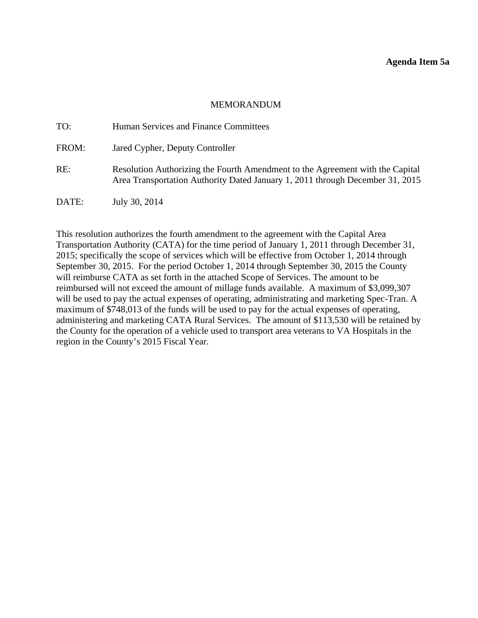<span id="page-41-0"></span>

| TO:   | Human Services and Finance Committees                                                                                                                          |
|-------|----------------------------------------------------------------------------------------------------------------------------------------------------------------|
| FROM: | Jared Cypher, Deputy Controller                                                                                                                                |
| RE:   | Resolution Authorizing the Fourth Amendment to the Agreement with the Capital<br>Area Transportation Authority Dated January 1, 2011 through December 31, 2015 |
| DATE: | July 30, 2014                                                                                                                                                  |

This resolution authorizes the fourth amendment to the agreement with the Capital Area Transportation Authority (CATA) for the time period of January 1, 2011 through December 31, 2015; specifically the scope of services which will be effective from October 1, 2014 through September 30, 2015. For the period October 1, 2014 through September 30, 2015 the County will reimburse CATA as set forth in the attached Scope of Services. The amount to be reimbursed will not exceed the amount of millage funds available. A maximum of \$3,099,307 will be used to pay the actual expenses of operating, administrating and marketing Spec-Tran. A maximum of \$748,013 of the funds will be used to pay for the actual expenses of operating, administering and marketing CATA Rural Services. The amount of \$113,530 will be retained by the County for the operation of a vehicle used to transport area veterans to VA Hospitals in the region in the County's 2015 Fiscal Year.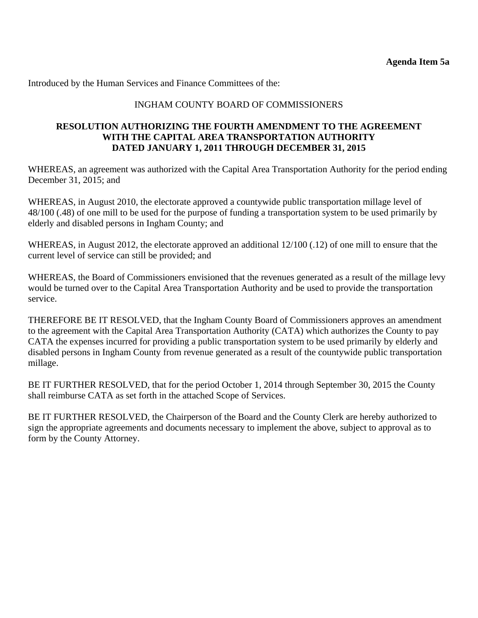# INGHAM COUNTY BOARD OF COMMISSIONERS

### **RESOLUTION AUTHORIZING THE FOURTH AMENDMENT TO THE AGREEMENT WITH THE CAPITAL AREA TRANSPORTATION AUTHORITY DATED JANUARY 1, 2011 THROUGH DECEMBER 31, 2015**

WHEREAS, an agreement was authorized with the Capital Area Transportation Authority for the period ending December 31, 2015; and

WHEREAS, in August 2010, the electorate approved a countywide public transportation millage level of 48/100 (.48) of one mill to be used for the purpose of funding a transportation system to be used primarily by elderly and disabled persons in Ingham County; and

WHEREAS, in August 2012, the electorate approved an additional 12/100 (.12) of one mill to ensure that the current level of service can still be provided; and

WHEREAS, the Board of Commissioners envisioned that the revenues generated as a result of the millage levy would be turned over to the Capital Area Transportation Authority and be used to provide the transportation service.

THEREFORE BE IT RESOLVED, that the Ingham County Board of Commissioners approves an amendment to the agreement with the Capital Area Transportation Authority (CATA) which authorizes the County to pay CATA the expenses incurred for providing a public transportation system to be used primarily by elderly and disabled persons in Ingham County from revenue generated as a result of the countywide public transportation millage.

BE IT FURTHER RESOLVED, that for the period October 1, 2014 through September 30, 2015 the County shall reimburse CATA as set forth in the attached Scope of Services.

BE IT FURTHER RESOLVED, the Chairperson of the Board and the County Clerk are hereby authorized to sign the appropriate agreements and documents necessary to implement the above, subject to approval as to form by the County Attorney.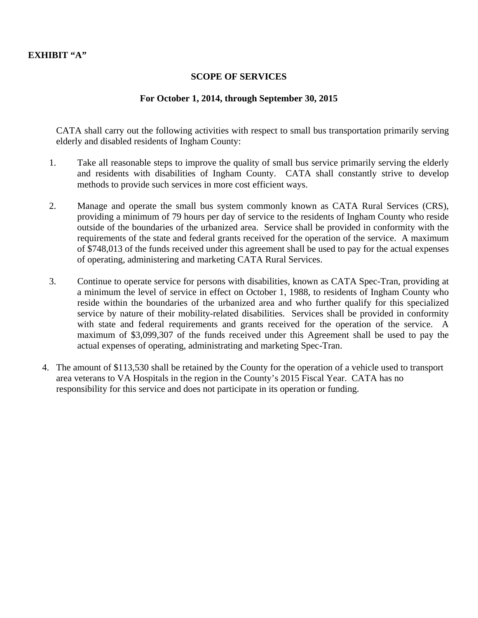### **SCOPE OF SERVICES**

## **For October 1, 2014, through September 30, 2015**

CATA shall carry out the following activities with respect to small bus transportation primarily serving elderly and disabled residents of Ingham County:

- 1. Take all reasonable steps to improve the quality of small bus service primarily serving the elderly and residents with disabilities of Ingham County. CATA shall constantly strive to develop methods to provide such services in more cost efficient ways.
- 2. Manage and operate the small bus system commonly known as CATA Rural Services (CRS), providing a minimum of 79 hours per day of service to the residents of Ingham County who reside outside of the boundaries of the urbanized area. Service shall be provided in conformity with the requirements of the state and federal grants received for the operation of the service. A maximum of \$748,013 of the funds received under this agreement shall be used to pay for the actual expenses of operating, administering and marketing CATA Rural Services.
- 3. Continue to operate service for persons with disabilities, known as CATA Spec-Tran, providing at a minimum the level of service in effect on October 1, 1988, to residents of Ingham County who reside within the boundaries of the urbanized area and who further qualify for this specialized service by nature of their mobility-related disabilities. Services shall be provided in conformity with state and federal requirements and grants received for the operation of the service. A maximum of \$3,099,307 of the funds received under this Agreement shall be used to pay the actual expenses of operating, administrating and marketing Spec-Tran.
- 4. The amount of \$113,530 shall be retained by the County for the operation of a vehicle used to transport area veterans to VA Hospitals in the region in the County's 2015 Fiscal Year. CATA has no responsibility for this service and does not participate in its operation or funding.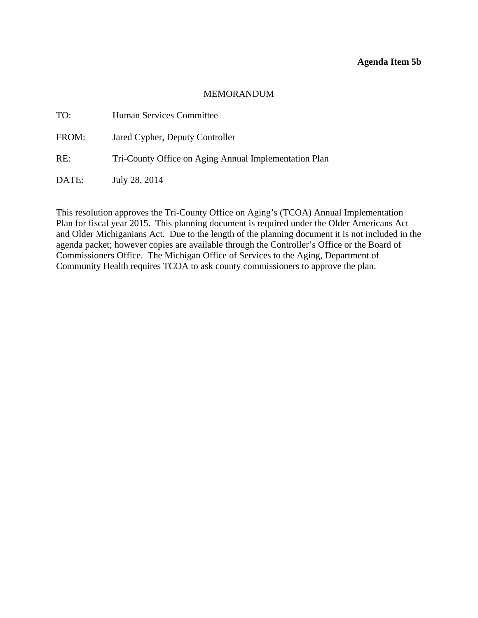#### **Agenda Item 5b**

#### MEMORANDUM

<span id="page-44-0"></span>

| TO:   | <b>Human Services Committee</b>                       |
|-------|-------------------------------------------------------|
| FROM: | Jared Cypher, Deputy Controller                       |
| RE:   | Tri-County Office on Aging Annual Implementation Plan |
| DATE: | July 28, 2014                                         |

This resolution approves the Tri-County Office on Aging's (TCOA) Annual Implementation Plan for fiscal year 2015. This planning document is required under the Older Americans Act and Older Michiganians Act. Due to the length of the planning document it is not included in the agenda packet; however copies are available through the Controller's Office or the Board of Commissioners Office. The Michigan Office of Services to the Aging, Department of Community Health requires TCOA to ask county commissioners to approve the plan.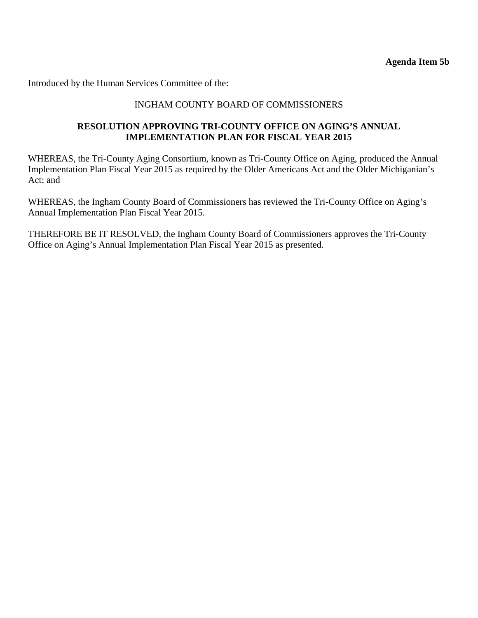**Agenda Item 5b** 

<span id="page-45-0"></span>Introduced by the Human Services Committee of the:

## INGHAM COUNTY BOARD OF COMMISSIONERS

### **RESOLUTION APPROVING TRI-COUNTY OFFICE ON AGING'S ANNUAL IMPLEMENTATION PLAN FOR FISCAL YEAR 2015**

WHEREAS, the Tri-County Aging Consortium, known as Tri-County Office on Aging, produced the Annual Implementation Plan Fiscal Year 2015 as required by the Older Americans Act and the Older Michiganian's Act; and

WHEREAS, the Ingham County Board of Commissioners has reviewed the Tri-County Office on Aging's Annual Implementation Plan Fiscal Year 2015.

THEREFORE BE IT RESOLVED, the Ingham County Board of Commissioners approves the Tri-County Office on Aging's Annual Implementation Plan Fiscal Year 2015 as presented.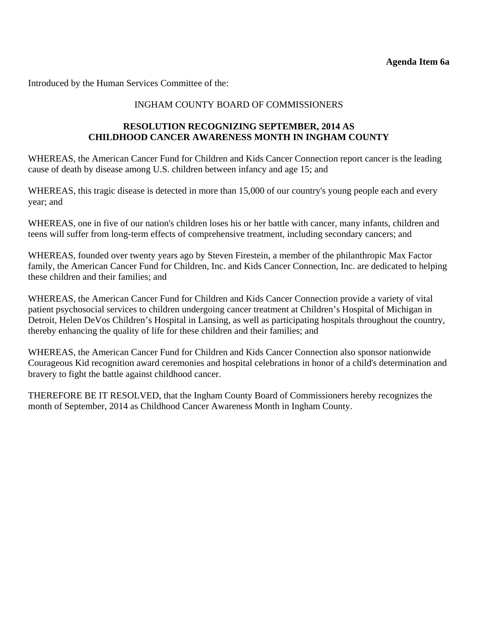<span id="page-46-0"></span>Introduced by the Human Services Committee of the:

## INGHAM COUNTY BOARD OF COMMISSIONERS

## **RESOLUTION RECOGNIZING SEPTEMBER, 2014 AS CHILDHOOD CANCER AWARENESS MONTH IN INGHAM COUNTY**

WHEREAS, the American Cancer Fund for Children and Kids Cancer Connection report cancer is the leading cause of death by disease among U.S. children between infancy and age 15; and

WHEREAS, this tragic disease is detected in more than 15,000 of our country's young people each and every year; and

WHEREAS, one in five of our nation's children loses his or her battle with cancer, many infants, children and teens will suffer from long-term effects of comprehensive treatment, including secondary cancers; and

WHEREAS, founded over twenty years ago by Steven Firestein, a member of the philanthropic Max Factor family, the American Cancer Fund for Children, Inc. and Kids Cancer Connection, Inc. are dedicated to helping these children and their families; and

WHEREAS, the American Cancer Fund for Children and Kids Cancer Connection provide a variety of vital patient psychosocial services to children undergoing cancer treatment at Children's Hospital of Michigan in Detroit, Helen DeVos Children's Hospital in Lansing, as well as participating hospitals throughout the country, thereby enhancing the quality of life for these children and their families; and

WHEREAS, the American Cancer Fund for Children and Kids Cancer Connection also sponsor nationwide Courageous Kid recognition award ceremonies and hospital celebrations in honor of a child's determination and bravery to fight the battle against childhood cancer.

THEREFORE BE IT RESOLVED, that the Ingham County Board of Commissioners hereby recognizes the month of September, 2014 as Childhood Cancer Awareness Month in Ingham County.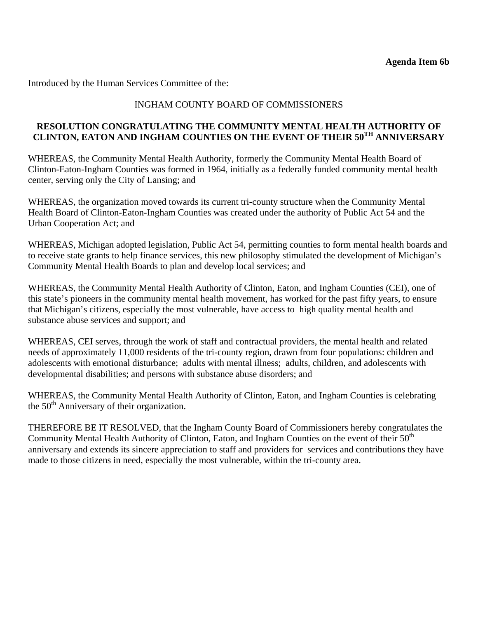<span id="page-47-0"></span>Introduced by the Human Services Committee of the:

# INGHAM COUNTY BOARD OF COMMISSIONERS

## **RESOLUTION CONGRATULATING THE COMMUNITY MENTAL HEALTH AUTHORITY OF CLINTON, EATON AND INGHAM COUNTIES ON THE EVENT OF THEIR 50TH ANNIVERSARY**

WHEREAS, the Community Mental Health Authority, formerly the Community Mental Health Board of Clinton-Eaton-Ingham Counties was formed in 1964, initially as a federally funded community mental health center, serving only the City of Lansing; and

WHEREAS, the organization moved towards its current tri-county structure when the Community Mental Health Board of Clinton-Eaton-Ingham Counties was created under the authority of Public Act 54 and the Urban Cooperation Act; and

WHEREAS, Michigan adopted legislation, Public Act 54, permitting counties to form mental health boards and to receive state grants to help finance services, this new philosophy stimulated the development of Michigan's Community Mental Health Boards to plan and develop local services; and

WHEREAS, the Community Mental Health Authority of Clinton, Eaton, and Ingham Counties (CEI), one of this state's pioneers in the community mental health movement, has worked for the past fifty years, to ensure that Michigan's citizens, especially the most vulnerable, have access to high quality mental health and substance abuse services and support; and

WHEREAS, CEI serves, through the work of staff and contractual providers, the mental health and related needs of approximately 11,000 residents of the tri-county region, drawn from four populations: children and adolescents with emotional disturbance; adults with mental illness; adults, children, and adolescents with developmental disabilities; and persons with substance abuse disorders; and

WHEREAS, the Community Mental Health Authority of Clinton, Eaton, and Ingham Counties is celebrating the  $50<sup>th</sup>$  Anniversary of their organization.

THEREFORE BE IT RESOLVED, that the Ingham County Board of Commissioners hereby congratulates the Community Mental Health Authority of Clinton, Eaton, and Ingham Counties on the event of their 50<sup>th</sup> anniversary and extends its sincere appreciation to staff and providers for services and contributions they have made to those citizens in need, especially the most vulnerable, within the tri-county area.